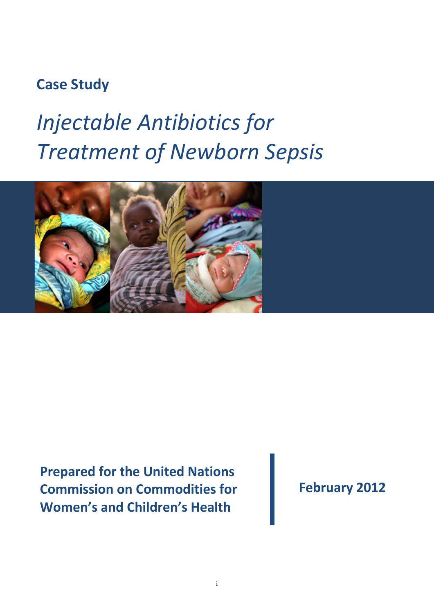# **Case Study**

# *Injectable Antibiotics for Treatment of Newborn Sepsis*



**Prepared for the United Nations Commission on Commodities for Women's and Children's Health**

i

**February 2012**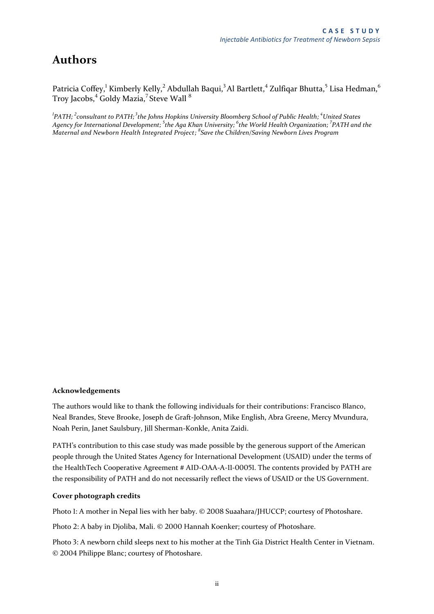### **Authors**

Patricia Coffey, <sup>1</sup> Kimberly Kelly, <sup>2</sup> Abdullah Baqui, <sup>3</sup> Al Bartlett, <sup>4</sup> Zulfiqar Bhutta, <sup>5</sup> Lisa Hedman, <sup>6</sup> Troy Jacobs,<sup>4</sup> Goldy Mazia,<sup>7</sup> Steve Wall <sup>8</sup>

*1 PATH; 2 consultant to PATH;<sup>3</sup>the Johns Hopkins University Bloomberg School of Public Health; <sup>4</sup>United States Agency for International Development; <sup>5</sup> the Aga Khan University; <sup>6</sup> the World Health Organization; <sup>7</sup> PATH and the Maternal and Newborn Health Integrated Project; 8 Save the Children/Saving Newborn Lives Program*

#### **Acknowledgements**

The authors would like to thank the following individuals for their contributions: Francisco Blanco, Neal Brandes, Steve Brooke, Joseph de Graft-Johnson, Mike English, Abra Greene, Mercy Mvundura, Noah Perin, Janet Saulsbury, Jill Sherman-Konkle, Anita Zaidi.

PATH's contribution to this case study was made possible by the generous support of the American people through the United States Agency for International Development (USAID) under the terms of the HealthTech Cooperative Agreement # AID-OAA-A-11-00051. The contents provided by PATH are the responsibility of PATH and do not necessarily reflect the views of USAID or the US Government.

#### **Cover photograph credits**

Photo 1: A mother in Nepal lies with her baby. © 2008 Suaahara/JHUCCP; courtesy of Photoshare.

Photo 2: A baby in Djoliba, Mali. © 2000 Hannah Koenker; courtesy of Photoshare.

Photo 3: A newborn child sleeps next to his mother at the Tinh Gia District Health Center in Vietnam. © 2004 Philippe Blanc; courtesy of Photoshare.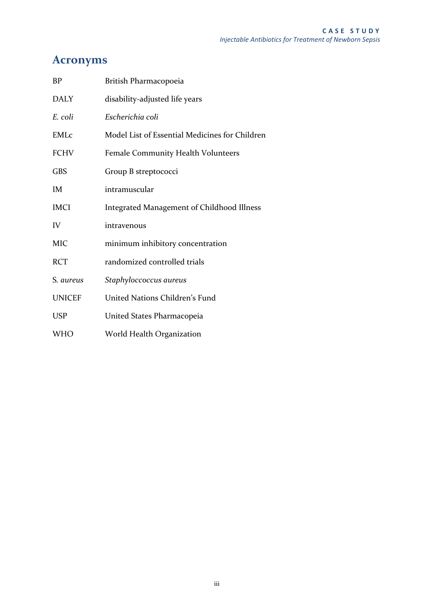# **Acronyms**

| <b>BP</b>     | British Pharmacopoeia                          |
|---------------|------------------------------------------------|
| <b>DALY</b>   | disability-adjusted life years                 |
| E. coli       | Escherichia coli                               |
| <b>EMLc</b>   | Model List of Essential Medicines for Children |
| <b>FCHV</b>   | Female Community Health Volunteers             |
| <b>GBS</b>    | Group B streptococci                           |
| IM            | intramuscular                                  |
| <b>IMCI</b>   | Integrated Management of Childhood Illness     |
| IV            | intravenous                                    |
| <b>MIC</b>    | minimum inhibitory concentration               |
| <b>RCT</b>    | randomized controlled trials                   |
| S. aureus     | Staphyloccoccus aureus                         |
| <b>UNICEF</b> | United Nations Children's Fund                 |
| <b>USP</b>    | United States Pharmacopeia                     |
| WHO           | World Health Organization                      |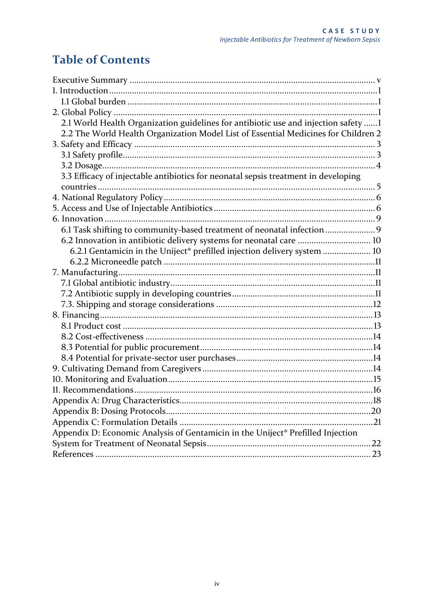# **Table of Contents**

| 2.1 World Health Organization guidelines for antibiotic use and injection safety 1 |    |
|------------------------------------------------------------------------------------|----|
| 2.2 The World Health Organization Model List of Essential Medicines for Children 2 |    |
|                                                                                    |    |
|                                                                                    |    |
|                                                                                    |    |
| 3.3 Efficacy of injectable antibiotics for neonatal sepsis treatment in developing |    |
|                                                                                    |    |
|                                                                                    |    |
|                                                                                    |    |
|                                                                                    |    |
| 6.1 Task shifting to community-based treatment of neonatal infection 9             |    |
| 6.2 Innovation in antibiotic delivery systems for neonatal care  10                |    |
| 6.2.1 Gentamicin in the Uniject® prefilled injection delivery system  10           |    |
|                                                                                    |    |
|                                                                                    |    |
|                                                                                    |    |
|                                                                                    |    |
|                                                                                    |    |
|                                                                                    |    |
|                                                                                    |    |
|                                                                                    |    |
|                                                                                    |    |
|                                                                                    |    |
|                                                                                    |    |
|                                                                                    |    |
|                                                                                    |    |
|                                                                                    | 18 |
|                                                                                    |    |
|                                                                                    |    |
| Appendix D: Economic Analysis of Gentamicin in the Uniject® Prefilled Injection    |    |
|                                                                                    | 22 |
|                                                                                    |    |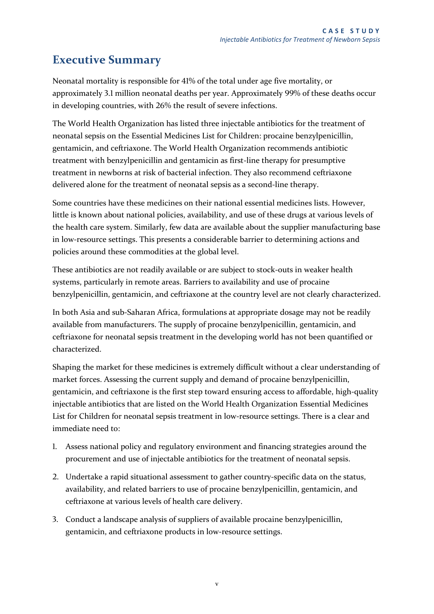# <span id="page-4-0"></span>**Executive Summary**

Neonatal mortality is responsible for 41% of the total under age five mortality, or approximately 3.1 million neonatal deaths per year. Approximately 99% of these deaths occur in developing countries, with 26% the result of severe infections.

The World Health Organization has listed three injectable antibiotics for the treatment of neonatal sepsis on the Essential Medicines List for Children: procaine benzylpenicillin, gentamicin, and ceftriaxone. The World Health Organization recommends antibiotic treatment with benzylpenicillin and gentamicin as first-line therapy for presumptive treatment in newborns at risk of bacterial infection. They also recommend ceftriaxone delivered alone for the treatment of neonatal sepsis as a second-line therapy.

Some countries have these medicines on their national essential medicines lists. However, little is known about national policies, availability, and use of these drugs at various levels of the health care system. Similarly, few data are available about the supplier manufacturing base in low-resource settings. This presents a considerable barrier to determining actions and policies around these commodities at the global level.

These antibiotics are not readily available or are subject to stock-outs in weaker health systems, particularly in remote areas. Barriers to availability and use of procaine benzylpenicillin, gentamicin, and ceftriaxone at the country level are not clearly characterized.

In both Asia and sub-Saharan Africa, formulations at appropriate dosage may not be readily available from manufacturers. The supply of procaine benzylpenicillin, gentamicin, and ceftriaxone for neonatal sepsis treatment in the developing world has not been quantified or characterized.

Shaping the market for these medicines is extremely difficult without a clear understanding of market forces. Assessing the current supply and demand of procaine benzylpenicillin, gentamicin, and ceftriaxone is the first step toward ensuring access to affordable, high-quality injectable antibiotics that are listed on the World Health Organization Essential Medicines List for Children for neonatal sepsis treatment in low-resource settings. There is a clear and immediate need to:

- 1. Assess national policy and regulatory environment and financing strategies around the procurement and use of injectable antibiotics for the treatment of neonatal sepsis.
- 2. Undertake a rapid situational assessment to gather country-specific data on the status, availability, and related barriers to use of procaine benzylpenicillin, gentamicin, and ceftriaxone at various levels of health care delivery.
- 3. Conduct a landscape analysis of suppliers of available procaine benzylpenicillin, gentamicin, and ceftriaxone products in low-resource settings.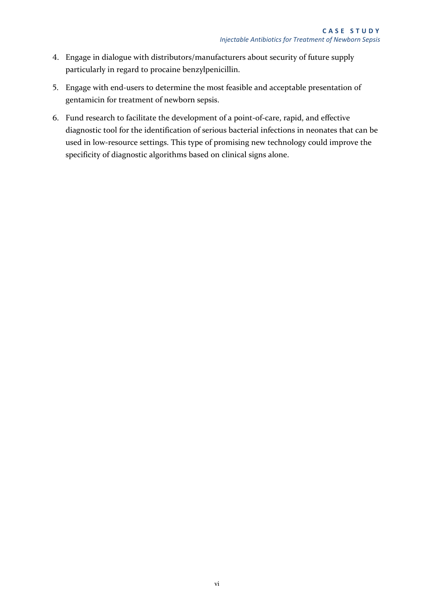- 4. Engage in dialogue with distributors/manufacturers about security of future supply particularly in regard to procaine benzylpenicillin.
- 5. Engage with end-users to determine the most feasible and acceptable presentation of gentamicin for treatment of newborn sepsis.
- <span id="page-5-0"></span>6. Fund research to facilitate the development of a point-of-care, rapid, and effective diagnostic tool for the identification of serious bacterial infections in neonates that can be used in low-resource settings. This type of promising new technology could improve the specificity of diagnostic algorithms based on clinical signs alone.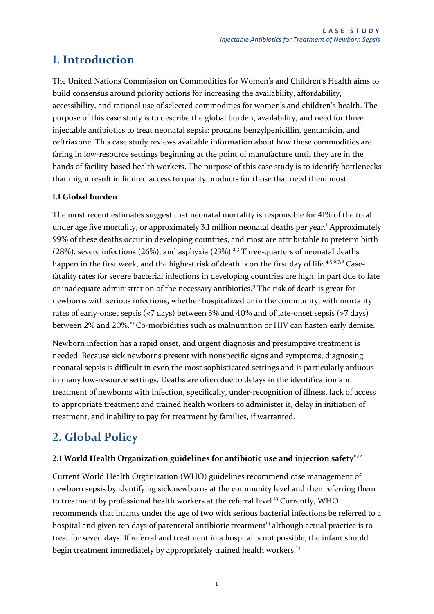### **1. Introduction**

The United Nations Commission on Commodities for Women's and Children's Health aims to build consensus around priority actions for increasing the availability, affordability, accessibility, and rational use of selected commodities for women's and children's health. The purpose of this case study is to describe the global burden, availability, and need for three injectable antibiotics to treat neonatal sepsis: procaine benzylpenicillin, gentamicin, and ceftriaxone. This case study reviews available information about how these commodities are faring in low-resource settings beginning at the point of manufacture until they are in the hands of facility-based health workers. The purpose of this case study is to identify bottlenecks that might result in limited access to quality products for those that need them most.

#### <span id="page-6-0"></span>**1.1 Global burden**

The most recent estimates suggest that neonatal mortality is responsible for 41% of the total under age five mortality, or approximately 3.1 million neonatal deaths per year.<sup>1</sup> Approximately 99% of these deaths occur in developing countries, and most are attributable to preterm birth  $(28%)$ , severe infections  $(26%)$ , and asphyxia  $(23%)$ .<sup>2,3</sup> Three-quarters of neonatal deaths happen in the first week, and the highest risk of death is on the first day of life.<sup>4,5,6,7,8</sup> Casefatality rates for severe bacterial infections in developing countries are high, in part due to late or inadequate administration of the necessary antibiotics.<sup>9</sup> The risk of death is great for newborns with serious infections, whether hospitalized or in the community, with mortality rates of early-onset sepsis (<7 days) between 3% and 40% and of late-onset sepsis (>7 days) between 2% and 20%.<sup>10</sup> Co-morbidities such as malnutrition or HIV can hasten early demise.

<span id="page-6-4"></span>Newborn infection has a rapid onset, and urgent diagnosis and presumptive treatment is needed. Because sick newborns present with nonspecific signs and symptoms, diagnosing neonatal sepsis is difficult in even the most sophisticated settings and is particularly arduous in many low-resource settings. Deaths are often due to delays in the identification and treatment of newborns with infection, specifically, under-recognition of illness, lack of access to appropriate treatment and trained health workers to administer it, delay in initiation of treatment, and inability to pay for treatment by families, if warranted.

# <span id="page-6-1"></span>**2. Global Policy**

#### <span id="page-6-2"></span>2.1 World Health Organization guidelines for antibiotic use and injection safety<sup>11,12</sup>

<span id="page-6-3"></span>Current World Health Organization (WHO) guidelines recommend case management of newborn sepsis by identifying sick newborns at the community level and then referring them to treatment by professional health workers at the referral level.<sup>13</sup> Currently, WHO recommends that infants under the age of two with serious bacterial infections be referred to a hospital and given ten days of parenteral antibiotic treatment<sup>14</sup> although actual practice is to treat for seven days. If referral and treatment in a hospital is not possible, the infant should begin treatment immediately by appropriately trained health workers.<sup>[14](#page-6-3)</sup>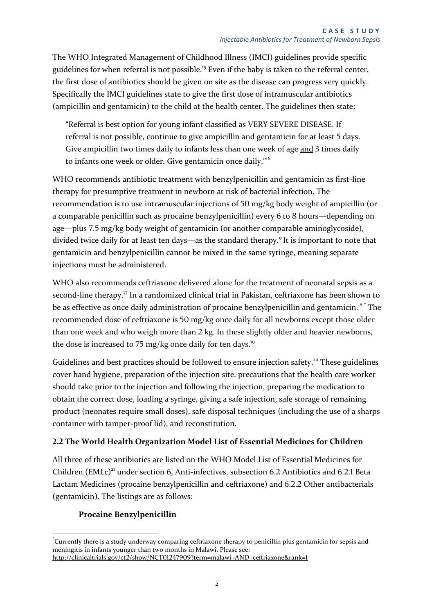The WHO Integrated Management of Childhood Illness (IMCI) guidelines provide specific guidelines for when referral is not possible.<sup>15</sup> Even if the baby is taken to the referral center, the first dose of antibiotics should be given on site as the disease can progress very quickly. Specifically the IMCI guidelines state to give the first dose of intramuscular antibiotics (ampicillin and gentamicin) to the child at the health center. The guidelines then state:

<span id="page-7-2"></span>"Referral is best option for young infant classified as VERY SEVERE DISEASE. If referral is not possible, continue to give ampicillin and gentamicin for at least 5 days. Give ampicillin two times daily to infants less than one week of age and 3 times daily to infants one week or older. Give gentamicin once daily."<sup>16</sup>

WHO recommends antibiotic treatment with benzylpenicillin and gentamicin as first-line therapy for presumptive treatment in newborn at risk of bacterial infection. The recommendation is to use intramuscular injections of 50 mg/kg body weight of ampicillin (or a comparable penicillin such as procaine benzylpenicillin) every 6 to 8 hours—depending on age—plus 7.5 mg/kg body weight of gentamicin (or another comparable aminoglycoside), divided twice daily for at least ten days—as the standard therapy[.](#page-6-4)<sup>9</sup> It is important to note that gentamicin and benzylpenicillin cannot be mixed in the same syringe, meaning separate injections must be administered.

WHO also recommends ceftriaxone delivered alone for the treatment of neonatal sepsis as a second-line therapy.<sup>17</sup> In a randomized clinical trial in Pakistan, ceftriaxone has been shown to be as effective as once daily administration of procaine benzylpenicillin and gentamicin.<sup>18,\*</sup> The recommended dose of ceftriaxone is 50 mg/kg once daily for all newborns except those older than one week and who weigh more than 2 kg. In these slightly older and heavier newborns, the dose is increased to 75 mg/kg once daily for ten days.<sup>19</sup>

<span id="page-7-1"></span>Guidelines and best practices should be followed to ensure injection safety.<sup>20</sup> These guidelines cover hand hygiene, preparation of the injection site, precautions that the health care worker should take prior to the injection and following the injection, preparing the medication to obtain the correct dose, loading a syringe, giving a safe injection, safe storage of remaining product (neonates require small doses), safe disposal techniques (including the use of a sharps container with tamper-proof lid), and reconstitution.

#### <span id="page-7-0"></span>**2.2 The World Health Organization Model List of Essential Medicines for Children**

All three of these antibiotics are listed on the WHO Model List of Essential Medicines for Children (EMLc)<sup>21</sup> under section 6, Anti-infectives, subsection 6.2 Antibiotics and 6.2.1 Beta Lactam Medicines (procaine benzylpenicillin and ceftriaxone) and 6.2.2 Other antibacterials (gentamicin). The listings are as follows:

#### **Procaine Benzylpenicillin**

 $\overline{a}$ \* Currently there is a study underway comparing ceftriaxone therapy to penicillin plus gentamicin for sepsis and meningitis in infants younger than two months in Malawi. Please see: <http://clinicaltrials.gov/ct2/show/NCT01247909?term=malawi+AND+ceftriaxone&rank=1>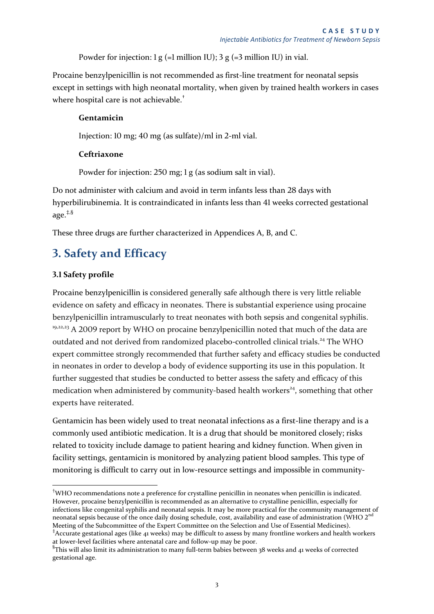Powder for injection:  $1 g (=1$  million IU);  $3 g (=3$  million IU) in vial.

Procaine benzylpenicillin is not recommended as first-line treatment for neonatal sepsis except in settings with high neonatal mortality, when given by trained health workers in cases where hospital care is not achievable.<sup>†</sup>

#### **Gentamicin**

Injection: 10 mg; 40 mg (as sulfate)/ml in 2-ml vial.

#### **Ceftriaxone**

Powder for injection: 250 mg; 1 g (as sodium salt in vial).

Do not administer with calcium and avoid in term infants less than 28 days with hyperbilirubinemia. It is contraindicated in infants less than 41 weeks corrected gestational age.‡,§

These three drugs are further characterized in Appendices [A,](#page-22-0) [B,](#page-25-0) and [C.](#page-26-0)

# <span id="page-8-0"></span>**3. Safety and Efficacy**

#### <span id="page-8-1"></span>**3.1 Safety profile**

-

<span id="page-8-4"></span><span id="page-8-3"></span><span id="page-8-2"></span>Procaine benzylpenicillin is considered generally safe although there is very little reliable evidence on safety and efficacy in neonates. There is substantial experience using procaine benzylpenicillin intramuscularly to treat neonates with both sepsis and congenital syphilis. <sup>[19,](#page-7-1)22,23</sup> A 2009 report by WHO on procaine benzylpenicillin noted that much of the data are outdated and not derived from randomized placebo-controlled clinical trials.<sup>24</sup> The WHO expert committee strongly recommended that further safety and efficacy studies be conducted in neonates in order to develop a body of evidence supporting its use in this population. It further suggested that studies be conducted to better assess the safety and efficacy of this medication when administered by community-based health workers<sup>[24](#page-8-2)</sup>, something that other experts have reiterated.

Gentamicin has been widely used to treat neonatal infections as a first-line therapy and is a commonly used antibiotic medication. It is a drug that should be monitored closely; risks related to toxicity include damage to patient hearing and kidney function. When given in facility settings, gentamicin is monitored by analyzing patient blood samples. This type of monitoring is difficult to carry out in low-resource settings and impossible in community-

<sup>†</sup>WHO recommendations note a preference for crystalline penicillin in neonates when penicillin is indicated. However, procaine benzylpenicillin is recommended as an alternative to crystalline penicillin, especially for infections like congenital syphilis and neonatal sepsis. It may be more practical for the community management of neonatal sepsis because of the once daily dosing schedule, cost, availability and ease of administration (WHO  $2<sup>n</sup>$ Meeting of the Subcommittee of the Expert Committee on the Selection and Use of Essential Medicines). ‡ Accurate gestational ages (like 41 weeks) may be difficult to assess by many frontline workers and health workers

at lower-level facilities where antenatal care and follow-up may be poor.

<sup>§</sup> This will also limit its administration to many full-term babies between 38 weeks and 41 weeks of corrected gestational age.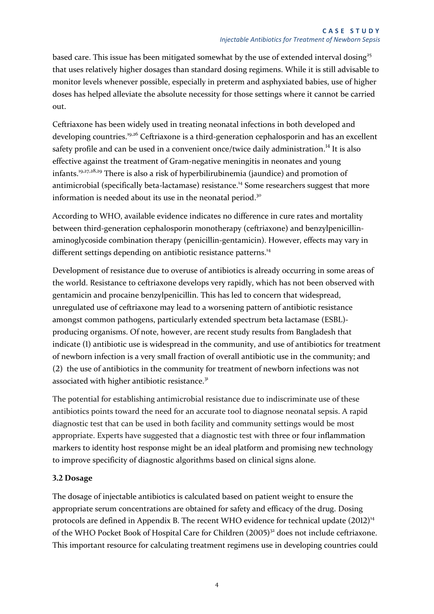<span id="page-9-2"></span>based care. This issue has been mitigated somewhat by the use of extended interval dosing<sup>25</sup> that uses relatively higher dosages than standard dosing regimens. While it is still advisable to monitor levels whenever possible, especially in preterm and asphyxiated babies, use of higher doses has helped alleviate the absolute necessity for those settings where it cannot be carried out.

Ceftriaxone has been widely used in treating neonatal infections in both developed and developing countries.<sup>[19,](#page-7-1)26</sup> Ceftriaxone is a third-generation cephalosporin and has an excellent safety profile and can be used in a convenient once/twice daily administration.<sup>[14](#page-6-3)</sup> It is also effective against the treatment of Gram-negative meningitis in neonates and young infants.[19,](#page-7-1)27,28,<sup>29</sup> There is also a risk of hyperbilirubinemia (jaundice) and promotion of antimicrobial (specifically beta-lactamase) resistance.<sup>[14](#page-6-3)</sup> Some researchers suggest that more information is needed about its use in the neonatal period.<sup>30</sup>

<span id="page-9-1"></span>According to WHO, available evidence indicates no difference in cure rates and mortality between third-generation cephalosporin monotherapy (ceftriaxone) and benzylpenicillinaminoglycoside combination therapy (penicillin-gentamicin). However, effects may vary in different settings depending on antibiotic resistance patterns.<sup>[14](#page-6-3)</sup>

Development of resistance due to overuse of antibiotics is already occurring in some areas of the world. Resistance to ceftriaxone develops very rapidly, which has not been observed with gentamicin and procaine benzylpenicillin. This has led to concern that widespread, unregulated use of ceftriaxone may lead to a worsening pattern of antibiotic resistance amongst common pathogens, particularly extended spectrum beta lactamase (ESBL) producing organisms. Of note, however, are recent study results from Bangladesh that indicate (1) antibiotic use is widespread in the community, and use of antibiotics for treatment of newborn infection is a very small fraction of overall antibiotic use in the community; and (2) the use of antibiotics in the community for treatment of newborn infections was not associated with higher antibiotic resistance.<sup>31</sup>

The potential for establishing antimicrobial resistance due to indiscriminate use of these antibiotics points toward the need for an accurate tool to diagnose neonatal sepsis. A rapid diagnostic test that can be used in both facility and community settings would be most appropriate. Experts have suggested that a diagnostic test with three or four inflammation markers to identity host response might be an ideal platform and promising new technology to improve specificity of diagnostic algorithms based on clinical signs alone.

#### <span id="page-9-0"></span>**3.2 Dosage**

<span id="page-9-3"></span>The dosage of injectable antibiotics is calculated based on patient weight to ensure the appropriate serum concentrations are obtained for safety and efficacy of the drug. Dosing protocols are defined in [Appendix B.](#page-25-0) The recent WHO evidence for technical update (2012)<sup>[14](#page-6-3)</sup> of the WHO Pocket Book of Hospital Care for Children (2005)<sup>32</sup> does not include ceftriaxone. This important resource for calculating treatment regimens use in developing countries could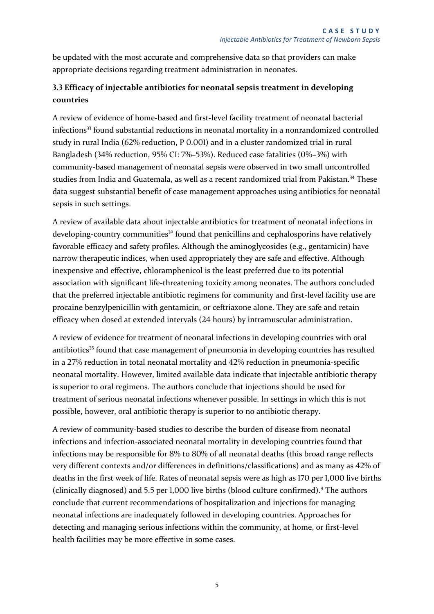be updated with the most accurate and comprehensive data so that providers can make appropriate decisions regarding treatment administration in neonates.

#### <span id="page-10-0"></span>**3.3 Efficacy of injectable antibiotics for neonatal sepsis treatment in developing countries**

A review of evidence of home-based and first-level facility treatment of neonatal bacterial infections<sup>33</sup> found substantial reductions in neonatal mortality in a nonrandomized controlled study in rural India (62% reduction, P 0.001) and in a cluster randomized trial in rural Bangladesh (34% reduction, 95% CI: 7%–53%). Reduced case fatalities (0%–3%) with community-based management of neonatal sepsis were observed in two small uncontrolled studies from India and Guatemala, as well as a recent randomized trial from Pakistan.<sup>34</sup> These data suggest substantial benefit of case management approaches using antibiotics for neonatal sepsis in such settings.

A review of available data about injectable antibiotics for treatment of neonatal infections in developing-country communities<sup>[30](#page-9-1)</sup> found that penicillins and cephalosporins have relatively favorable efficacy and safety profiles. Although the aminoglycosides (e.g., gentamicin) have narrow therapeutic indices, when used appropriately they are safe and effective. Although inexpensive and effective, chloramphenicol is the least preferred due to its potential association with significant life-threatening toxicity among neonates. The authors concluded that the preferred injectable antibiotic regimens for community and first-level facility use are procaine benzylpenicillin with gentamicin, or ceftriaxone alone. They are safe and retain efficacy when dosed at extended intervals (24 hours) by intramuscular administration.

A review of evidence for treatment of neonatal infections in developing countries with oral antibiotics<sup>35</sup> found that case management of pneumonia in developing countries has resulted in a 27% reduction in total neonatal mortality and 42% reduction in pneumonia-specific neonatal mortality. However, limited available data indicate that injectable antibiotic therapy is superior to oral regimens. The authors conclude that injections should be used for treatment of serious neonatal infections whenever possible. In settings in which this is not possible, however, oral antibiotic therapy is superior to no antibiotic therapy.

A review of community-based studies to describe the burden of disease from neonatal infections and infection-associated neonatal mortality in developing countries found that infections may be responsible for 8% to 80% of all neonatal deaths (this broad range reflects very different contexts and/or differences in definitions/classifications) and as many as 42% of deaths in the first week of life. Rates of neonatal sepsis were as high as 170 per 1,000 live births (clinically diagnosed) and 5.5 per 1,000 live births (blood culture confirmed[\).](#page-6-4)<sup>9</sup> The authors conclude that current recommendations of hospitalization and injections for managing neonatal infections are inadequately followed in developing countries. Approaches for detecting and managing serious infections within the community, at home, or first-level health facilities may be more effective in some cases.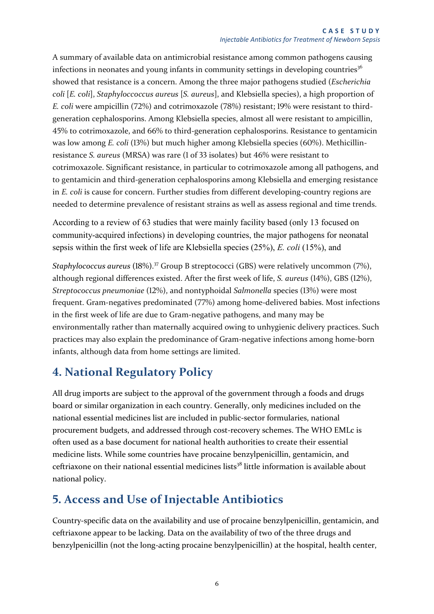A summary of available data on antimicrobial resistance among common pathogens causing infections in neonates and young infants in community settings in developing countries<sup>36</sup> showed that resistance is a concern. Among the three major pathogens studied (*Escherichia coli* [*E. coli*], *Staphyloccoccus aureus* [*S. aureus*], and Klebsiella species), a high proportion of *E. coli* were ampicillin (72%) and cotrimoxazole (78%) resistant; 19% were resistant to thirdgeneration cephalosporins. Among Klebsiella species, almost all were resistant to ampicillin, 45% to cotrimoxazole, and 66% to third-generation cephalosporins. Resistance to gentamicin was low among *E. coli* (13%) but much higher among Klebsiella species (60%). Methicillinresistance *S. aureus* (MRSA) was rare (1 of 33 isolates) but 46% were resistant to cotrimoxazole. Significant resistance, in particular to cotrimoxazole among all pathogens, and to gentamicin and third-generation cephalosporins among Klebsiella and emerging resistance in *E. coli* is cause for concern. Further studies from different developing-country regions are needed to determine prevalence of resistant strains as well as assess regional and time trends.

According to a review of 63 studies that were mainly facility based (only 13 focused on community-acquired infections) in developing countries, the major pathogens for neonatal sepsis within the first week of life are Klebsiella species (25%), *E. coli* (15%), and

*Staphylococcus aureus* (18%). <sup>37</sup> Group B streptococci (GBS) were relatively uncommon (7%), although regional differences existed. After the first week of life, *S. aureus* (14%), GBS (12%), *Streptococcus pneumoniae* (12%), and nontyphoidal *Salmonella* species (13%) were most frequent. Gram-negatives predominated (77%) among home-delivered babies. Most infections in the first week of life are due to Gram-negative pathogens, and many may be environmentally rather than maternally acquired owing to unhygienic delivery practices. Such practices may also explain the predominance of Gram-negative infections among home-born infants, although data from home settings are limited.

# <span id="page-11-0"></span>**4. National Regulatory Policy**

All drug imports are subject to the approval of the government through a foods and drugs board or similar organization in each country. Generally, only medicines included on the national essential medicines list are included in public-sector formularies, national procurement budgets, and addressed through cost-recovery schemes. The WHO EMLc is often used as a base document for national health authorities to create their essential medicine lists. While some countries have procaine benzylpenicillin, gentamicin, and ceftriaxone on their national essential medicines lists<sup>38</sup> little information is available about national policy.

# <span id="page-11-1"></span>**5. Access and Use of Injectable Antibiotics**

Country-specific data on the availability and use of procaine benzylpenicillin, gentamicin, and ceftriaxone appear to be lacking. Data on the availability of two of the three drugs and benzylpenicillin (not the long-acting procaine benzylpenicillin) at the hospital, health center,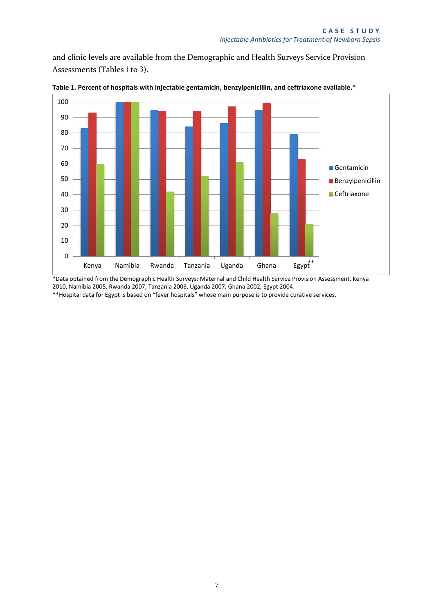and clinic levels are available from the Demographic and Health Surveys Service Provision Assessments (Tables 1 to 3).



**Table 1. Percent of hospitals with injectable gentamicin, benzylpenicillin, and ceftriaxone available.\*** 

\*Data obtained from the Demographic Health Surveys: Maternal and Child Health Service Provision Assessment. Kenya 2010, Namibia 2005, Rwanda 2007, Tanzania 2006, Uganda 2007, Ghana 2002, Egypt 2004. \*\*Hospital data for Egypt is based on "fever hospitals" whose main purpose is to provide curative services.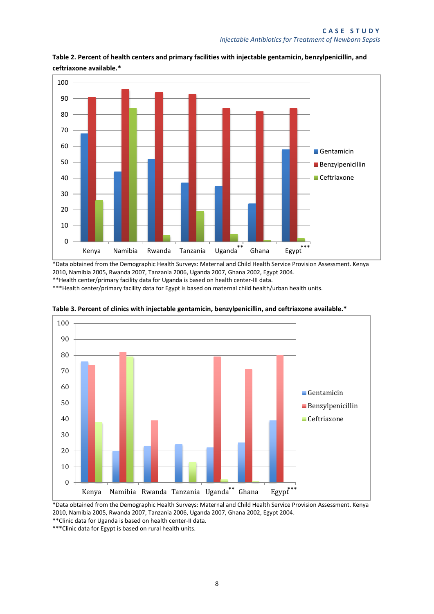

**Table 2. Percent of health centers and primary facilities with injectable gentamicin, benzylpenicillin, and ceftriaxone available.\*** 

\*Data obtained from the Demographic Health Surveys: Maternal and Child Health Service Provision Assessment. Kenya 2010, Namibia 2005, Rwanda 2007, Tanzania 2006, Uganda 2007, Ghana 2002, Egypt 2004. \*\*Health center/primary facility data for Uganda is based on health center-III data.

\*\*\*Health center/primary facility data for Egypt is based on maternal child health/urban health units.



**Table 3. Percent of clinics with injectable gentamicin, benzylpenicillin, and ceftriaxone available.\*** 

\*Data obtained from the Demographic Health Surveys: Maternal and Child Health Service Provision Assessment. Kenya 2010, Namibia 2005, Rwanda 2007, Tanzania 2006, Uganda 2007, Ghana 2002, Egypt 2004.

\*\*Clinic data for Uganda is based on health center-II data.

\*\*\*Clinic data for Egypt is based on rural health units.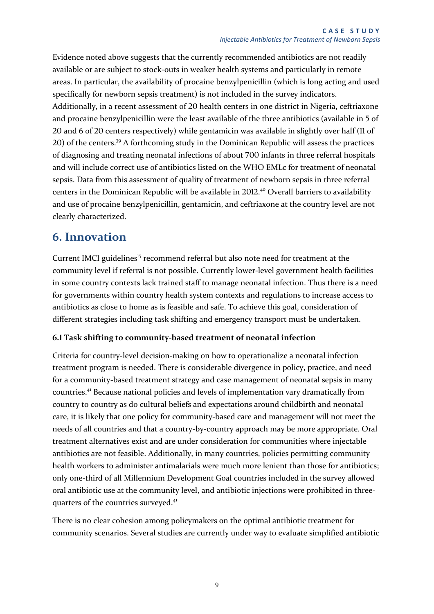Evidence noted above suggests that the currently recommended antibiotics are not readily available or are subject to stock-outs in weaker health systems and particularly in remote areas. In particular, the availability of procaine benzylpenicillin (which is long acting and used specifically for newborn sepsis treatment) is not included in the survey indicators. Additionally, in a recent assessment of 20 health centers in one district in Nigeria, ceftriaxone and procaine benzylpenicillin were the least available of the three antibiotics (available in 5 of 20 and 6 of 20 centers respectively) while gentamicin was available in slightly over half (11 of 20) of the centers.<sup>39</sup> A forthcoming study in the Dominican Republic will assess the practices of diagnosing and treating neonatal infections of about 700 infants in three referral hospitals and will include correct use of antibiotics listed on the WHO EMLc for treatment of neonatal sepsis. Data from this assessment of quality of treatment of newborn sepsis in three referral centers in the Dominican Republic will be available in 2012.<sup>40</sup> Overall barriers to availability and use of procaine benzylpenicillin, gentamicin, and ceftriaxone at the country level are not clearly characterized.

### <span id="page-14-0"></span>**6. Innovation**

Current IMCI guidelines<sup>[15](#page-7-2)</sup> recommend referral but also note need for treatment at the community level if referral is not possible. Currently lower-level government health facilities in some country contexts lack trained staff to manage neonatal infection. Thus there is a need for governments within country health system contexts and regulations to increase access to antibiotics as close to home as is feasible and safe. To achieve this goal, consideration of different strategies including task shifting and emergency transport must be undertaken.

#### <span id="page-14-1"></span>**6.1 Task shifting to community-based treatment of neonatal infection**

<span id="page-14-2"></span>Criteria for country-level decision-making on how to operationalize a neonatal infection treatment program is needed. There is considerable divergence in policy, practice, and need for a community-based treatment strategy and case management of neonatal sepsis in many countries.<sup>41</sup> Because national policies and levels of implementation vary dramatically from country to country as do cultural beliefs and expectations around childbirth and neonatal care, it is likely that one policy for community-based care and management will not meet the needs of all countries and that a country-by-country approach may be more appropriate. Oral treatment alternatives exist and are under consideration for communities where injectable antibiotics are not feasible. Additionally, in many countries, policies permitting community health workers to administer antimalarials were much more lenient than those for antibiotics; only one-third of all Millennium Development Goal countries included in the survey allowed oral antibiotic use at the community level, and antibiotic injections were prohibited in three-quarters of the countries surveyed.<sup>[41](#page-14-2)</sup>

There is no clear cohesion among policymakers on the optimal antibiotic treatment for community scenarios. Several studies are currently under way to evaluate simplified antibiotic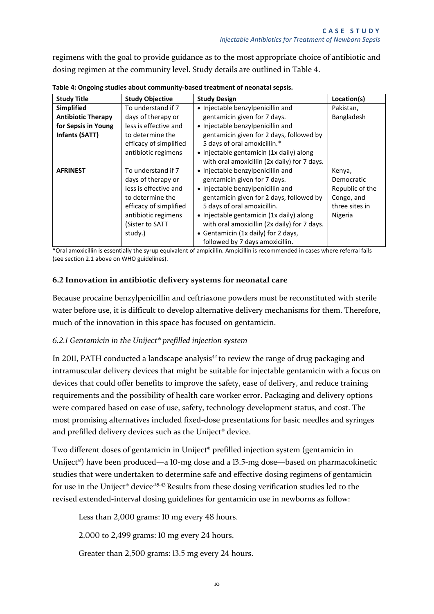regimens with the goal to provide guidance as to the most appropriate choice of antibiotic and dosing regimen at the community level. Study details are outlined in Table 4.

| <b>Study Title</b>        | <b>Study Objective</b> | <b>Study Design</b>                          | Location(s)     |
|---------------------------|------------------------|----------------------------------------------|-----------------|
| <b>Simplified</b>         | To understand if 7     | • Injectable benzylpenicillin and            | Pakistan,       |
| <b>Antibiotic Therapy</b> | days of therapy or     | gentamicin given for 7 days.                 | Bangladesh      |
| for Sepsis in Young       | less is effective and  | • Injectable benzylpenicillin and            |                 |
| <b>Infants (SATT)</b>     | to determine the       | gentamicin given for 2 days, followed by     |                 |
|                           | efficacy of simplified | 5 days of oral amoxicillin.*                 |                 |
|                           | antibiotic regimens    | • Injectable gentamicin (1x daily) along     |                 |
|                           |                        | with oral amoxicillin (2x daily) for 7 days. |                 |
| <b>AFRINEST</b>           | To understand if 7     | • Injectable benzylpenicillin and            | Kenya,          |
|                           | days of therapy or     | gentamicin given for 7 days.                 | Democratic      |
|                           | less is effective and  | • Injectable benzylpenicillin and            | Republic of the |
|                           | to determine the       | gentamicin given for 2 days, followed by     | Congo, and      |
|                           | efficacy of simplified | 5 days of oral amoxicillin.                  | three sites in  |
|                           | antibiotic regimens    | • Injectable gentamicin (1x daily) along     | Nigeria         |
|                           | (Sister to SATT        | with oral amoxicillin (2x daily) for 7 days. |                 |
|                           | study.)                | • Gentamicin (1x daily) for 2 days,          |                 |
|                           |                        | followed by 7 days amoxicillin.              |                 |

**Table 4: Ongoing studies about community-based treatment of neonatal sepsis.** 

\*Oral amoxicillin is essentially the syrup equivalent of ampicillin. Ampicillin is recommended in cases where referral fails (see section 2.1 above on WHO guidelines).

#### <span id="page-15-0"></span>**6.2 Innovation in antibiotic delivery systems for neonatal care**

Because procaine benzylpenicillin and ceftriaxone powders must be reconstituted with sterile water before use, it is difficult to develop alternative delivery mechanisms for them. Therefore, much of the innovation in this space has focused on gentamicin.

#### <span id="page-15-1"></span>*6.2.1 Gentamicin in the Uniject® prefilled injection system*

In 2011, PATH conducted a landscape analysis<sup>42</sup> to review the range of drug packaging and intramuscular delivery devices that might be suitable for injectable gentamicin with a focus on devices that could offer benefits to improve the safety, ease of delivery, and reduce training requirements and the possibility of health care worker error. Packaging and delivery options were compared based on ease of use, safety, technology development status, and cost. The most promising alternatives included fixed-dose presentations for basic needles and syringes and prefilled delivery devices such as the Uniject® device.

Two different doses of gentamicin in Uniject® prefilled injection system (gentamicin in Uniject®) have been produced—a 10-mg dose and a 13.5-mg dose—based on pharmacokinetic studies that were undertaken to determine safe and effective dosing regimens of gentamicin for use in the Uniject<sup>®</sup> device<sup>-25,43</sup> Results from these dosing verification studies led to the revised extended-interval dosing guidelines for gentamicin use in newborns as follow:

Less than 2,000 grams: 10 mg every 48 hours.

2,000 to 2,499 grams: 10 mg every 24 hours.

Greater than 2,500 grams: 13.5 mg every 24 hours.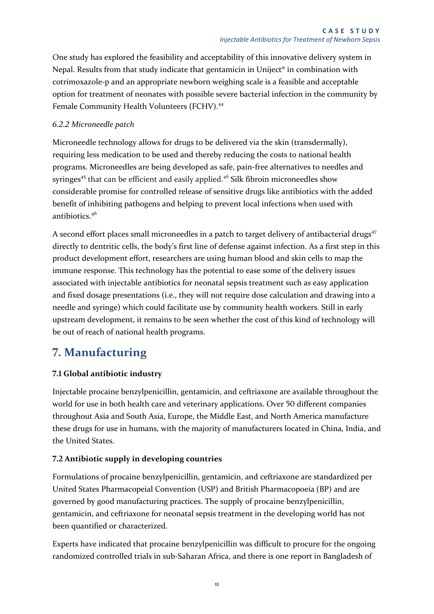One study has explored the feasibility and acceptability of this innovative delivery system in Nepal. Results from that study indicate that gentamicin in Uniject® in combination with cotrimoxazole-p and an appropriate newborn weighing scale is a feasible and acceptable option for treatment of neonates with possible severe bacterial infection in the community by Female Community Health Volunteers (FCHV).<sup>44</sup>

#### <span id="page-16-0"></span>*6.2.2 Microneedle patch*

<span id="page-16-4"></span>Microneedle technology allows for drugs to be delivered via the skin (transdermally), requiring less medication to be used and thereby reducing the costs to national health programs. Microneedles are being developed as safe, pain-free alternatives to needles and syringes<sup>45</sup> that can be efficient and easily applied.<sup>46</sup> Silk fibroin microneedles show considerable promise for controlled release of sensitive drugs like antibiotics with the added benefit of inhibiting pathogens and helping to prevent local infections when used with antibiotics.[46](#page-16-4)

A second effort places small microneedles in a patch to target delivery of antibacterial drugs<sup>47</sup> directly to dentritic cells, the body's first line of defense against infection. As a first step in this product development effort, researchers are using human blood and skin cells to map the immune response. This technology has the potential to ease some of the delivery issues associated with injectable antibiotics for neonatal sepsis treatment such as easy application and fixed dosage presentations (i.e., they will not require dose calculation and drawing into a needle and syringe) which could facilitate use by community health workers. Still in early upstream development, it remains to be seen whether the cost of this kind of technology will be out of reach of national health programs.

# <span id="page-16-1"></span>**7. Manufacturing**

#### <span id="page-16-2"></span>**7.1 Global antibiotic industry**

Injectable procaine benzylpenicillin, gentamicin, and ceftriaxone are available throughout the world for use in both health care and veterinary applications. Over 50 different companies throughout Asia and South Asia, Europe, the Middle East, and North America manufacture these drugs for use in humans, with the majority of manufacturers located in China, India, and the United States.

#### <span id="page-16-3"></span>**7.2 Antibiotic supply in developing countries**

Formulations of procaine benzylpenicillin, gentamicin, and ceftriaxone are standardized per United States Pharmacopeial Convention (USP) and British Pharmacopoeia (BP) and are governed by good manufacturing practices. The supply of procaine benzylpenicillin, gentamicin, and ceftriaxone for neonatal sepsis treatment in the developing world has not been quantified or characterized.

Experts have indicated that procaine benzylpenicillin was difficult to procure for the ongoing randomized controlled trials in sub-Saharan Africa, and there is one report in Bangladesh of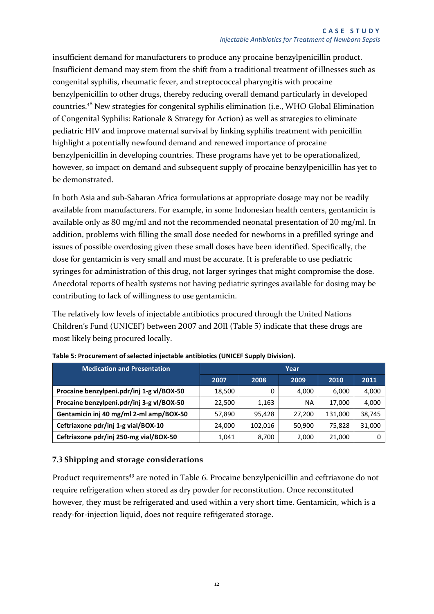insufficient demand for manufacturers to produce any procaine benzylpenicillin product. Insufficient demand may stem from the shift from a traditional treatment of illnesses such as congenital syphilis, rheumatic fever, and streptococcal pharyngitis with procaine benzylpenicillin to other drugs, thereby reducing overall demand particularly in developed countries.<sup>48</sup> New strategies for congenital syphilis elimination (i.e., WHO Global Elimination of Congenital Syphilis: Rationale & Strategy for Action) as well as strategies to eliminate pediatric HIV and improve maternal survival by linking syphilis treatment with penicillin highlight a potentially newfound demand and renewed importance of procaine benzylpenicillin in developing countries. These programs have yet to be operationalized, however, so impact on demand and subsequent supply of procaine benzylpenicillin has yet to be demonstrated.

In both Asia and sub-Saharan Africa formulations at appropriate dosage may not be readily available from manufacturers. For example, in some Indonesian health centers, gentamicin is available only as 80 mg/ml and not the recommended neonatal presentation of 20 mg/ml. In addition, problems with filling the small dose needed for newborns in a prefilled syringe and issues of possible overdosing given these small doses have been identified. Specifically, the dose for gentamicin is very small and must be accurate. It is preferable to use pediatric syringes for administration of this drug, not larger syringes that might compromise the dose. Anecdotal reports of health systems not having pediatric syringes available for dosing may be contributing to lack of willingness to use gentamicin.

The relatively low levels of injectable antibiotics procured through the United Nations Children's Fund (UNICEF) between 2007 and 2011 (Table 5) indicate that these drugs are most likely being procured locally.

| <b>Medication and Presentation</b>        | Year   |         |        |         |        |  |  |
|-------------------------------------------|--------|---------|--------|---------|--------|--|--|
|                                           | 2007   | 2008    | 2009   | 2010    | 2011   |  |  |
| Procaine benzylpeni.pdr/inj 1-g vl/BOX-50 | 18,500 |         | 4.000  | 6.000   | 4,000  |  |  |
| Procaine benzylpeni.pdr/inj 3-g vl/BOX-50 | 22,500 | 1,163   | ΝA     | 17,000  | 4,000  |  |  |
| Gentamicin inj 40 mg/ml 2-ml amp/BOX-50   | 57,890 | 95.428  | 27,200 | 131,000 | 38,745 |  |  |
| Ceftriaxone pdr/inj 1-g vial/BOX-10       | 24,000 | 102.016 | 50,900 | 75,828  | 31,000 |  |  |
| Ceftriaxone pdr/inj 250-mg vial/BOX-50    | 1,041  | 8,700   | 2,000  | 21,000  |        |  |  |

**Table 5: Procurement of selected injectable antibiotics (UNICEF Supply Division).** 

#### <span id="page-17-0"></span>**7.3 Shipping and storage considerations**

Product requirements<sup>49</sup> are noted in Table 6. Procaine benzylpenicillin and ceftriaxone do not require refrigeration when stored as dry powder for reconstitution. Once reconstituted however, they must be refrigerated and used within a very short time. Gentamicin, which is a ready-for-injection liquid, does not require refrigerated storage.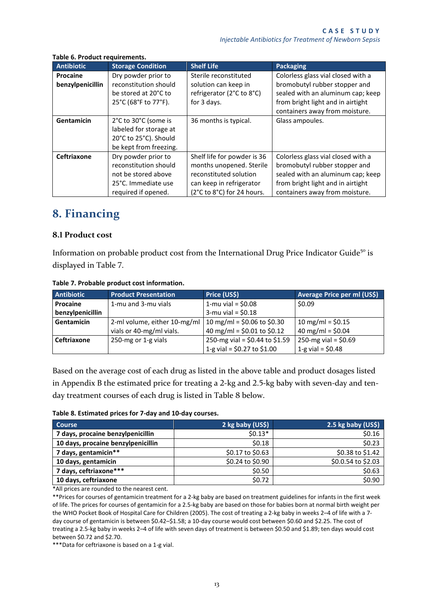| <b>Antibiotic</b> | <b>Storage Condition</b> | <b>Shelf Life</b>           | <b>Packaging</b>                   |
|-------------------|--------------------------|-----------------------------|------------------------------------|
| Procaine          | Dry powder prior to      | Sterile reconstituted       | Colorless glass vial closed with a |
| benzylpenicillin  | reconstitution should    | solution can keep in        | bromobutyl rubber stopper and      |
|                   | be stored at 20°C to     | refrigerator (2°C to 8°C)   | sealed with an aluminum cap; keep  |
|                   | 25°C (68°F to 77°F).     | for 3 days.                 | from bright light and in airtight  |
|                   |                          |                             | containers away from moisture.     |
| Gentamicin        | 2°C to 30°C (some is     | 36 months is typical.       | Glass ampoules.                    |
|                   | labeled for storage at   |                             |                                    |
|                   | 20°C to 25°C). Should    |                             |                                    |
|                   | be kept from freezing.   |                             |                                    |
| Ceftriaxone       | Dry powder prior to      | Shelf life for powder is 36 | Colorless glass vial closed with a |
|                   | reconstitution should    | months unopened. Sterile    | bromobutyl rubber stopper and      |
|                   | not be stored above      | reconstituted solution      | sealed with an aluminum cap; keep  |
|                   | 25°C. Immediate use      | can keep in refrigerator    | from bright light and in airtight  |
|                   | required if opened.      | (2°C to 8°C) for 24 hours.  | containers away from moisture.     |

#### **Table 6. Product requirements.**

### <span id="page-18-0"></span>**8. Financing**

#### <span id="page-18-1"></span>**8.1 Product cost**

Information on probable product cost from the International Drug Price Indicator Guide<sup>50</sup> is displayed in Table 7.

| <b>Antibiotic</b>  | <b>Product Presentation</b>  | Price (US\$)                     | Average Price per ml (US\$) |
|--------------------|------------------------------|----------------------------------|-----------------------------|
| Procaine           | 1-mu and 3-mu vials          | 1-mu vial = $$0.08$              | \$0.09                      |
| benzylpenicillin   |                              | 3-mu vial = $$0.18$              |                             |
| Gentamicin         | 2-ml volume, either 10-mg/ml | 10 mg/ml = $$0.06$ to $$0.30$    | 10 mg/ml = $$0.15$          |
|                    | vials or 40-mg/ml vials.     | 40 mg/ml = $$0.01$ to $$0.12$    | 40 mg/ml = $$0.04$          |
| <b>Ceftriaxone</b> | 250-mg or 1-g vials          | 250-mg vial = $$0.44$ to $$1.59$ | 250-mg vial = $$0.69$       |
|                    |                              | 1-g vial = $$0.27$ to $$1.00$    | 1-g vial = $$0.48$          |

#### **Table 7. Probable product cost information.**

Based on the average cost of each drug as listed in the above table and product dosages listed in [Appendix B](#page-25-0) the estimated price for treating a 2-kg and 2.5-kg baby with seven-day and tenday treatment courses of each drug is listed in Table 8 below.

|  | Table 8. Estimated prices for 7-day and 10-day courses. |
|--|---------------------------------------------------------|
|--|---------------------------------------------------------|

| <b>Course</b>                      | 2 kg baby (US\$) | 2.5 kg baby (US\$) |
|------------------------------------|------------------|--------------------|
| 7 days, procaine benzylpenicillin  | $$0.13*$         | \$0.16             |
| 10 days, procaine benzylpenicillin | \$0.18           | \$0.23             |
| 7 days, gentamicin**               | \$0.17 to \$0.63 | \$0.38 to \$1.42   |
| 10 days, gentamicin                | \$0.24 to \$0.90 | \$0.0.54 to \$2.03 |
| 7 days, ceftriaxone***             | \$0.50           | \$0.63             |
| 10 days, ceftriaxone               | \$0.72           | \$0.90             |

\*All prices are rounded to the nearest cent.

\*\*Prices for courses of gentamicin treatment for a 2-kg baby are based on treatment guidelines for infants in the first week of life. The prices for courses of gentamicin for a 2.5-kg baby are based on those for babies born at normal birth weight per the WHO Pocket Book of Hospital Care for Children (2005). The cost of treating a 2-kg baby in weeks 2–4 of life with a 7 day course of gentamicin is between \$0.42–\$1.58; a 10-day course would cost between \$0.60 and \$2.25. The cost of treating a 2.5-kg baby in weeks 2–4 of life with seven days of treatment is between \$0.50 and \$1.89; ten days would cost between \$0.72 and \$2.70.

\*\*\*Data for ceftriaxone is based on a 1-g vial.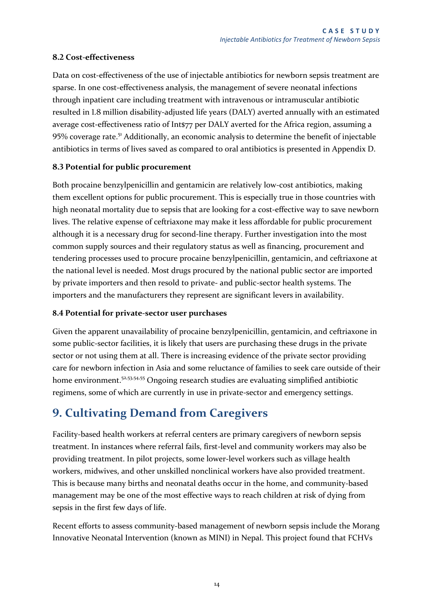#### <span id="page-19-0"></span>**8.2 Cost-effectiveness**

Data on cost-effectiveness of the use of injectable antibiotics for newborn sepsis treatment are sparse. In one cost-effectiveness analysis, the management of severe neonatal infections through inpatient care including treatment with intravenous or intramuscular antibiotic resulted in 1.8 million disability-adjusted life years (DALY) averted annually with an estimated average cost-effectiveness ratio of Int\$77 per DALY averted for the Africa region, assuming a 95% coverage rate. <sup>51</sup> Additionally, an economic analysis to determine the benefit of injectable antibiotics in terms of lives saved as compared to oral antibiotics is presented in [Appendix D.](#page-27-0)

#### <span id="page-19-1"></span>**8.3 Potential for public procurement**

Both procaine benzylpenicillin and gentamicin are relatively low-cost antibiotics, making them excellent options for public procurement. This is especially true in those countries with high neonatal mortality due to sepsis that are looking for a cost-effective way to save newborn lives. The relative expense of ceftriaxone may make it less affordable for public procurement although it is a necessary drug for second-line therapy. Further investigation into the most common supply sources and their regulatory status as well as financing, procurement and tendering processes used to procure procaine benzylpenicillin, gentamicin, and ceftriaxone at the national level is needed. Most drugs procured by the national public sector are imported by private importers and then resold to private- and public-sector health systems. The importers and the manufacturers they represent are significant levers in availability.

#### <span id="page-19-2"></span>**8.4 Potential for private-sector user purchases**

Given the apparent unavailability of procaine benzylpenicillin, gentamicin, and ceftriaxone in some public-sector facilities, it is likely that users are purchasing these drugs in the private sector or not using them at all. There is increasing evidence of the private sector providing care for newborn infection in Asia and some reluctance of families to seek care outside of their home environment.<sup>52,53,54,55</sup> Ongoing research studies are evaluating simplified antibiotic regimens, some of which are currently in use in private-sector and emergency settings.

# <span id="page-19-3"></span>**9. Cultivating Demand from Caregivers**

Facility-based health workers at referral centers are primary caregivers of newborn sepsis treatment. In instances where referral fails, first-level and community workers may also be providing treatment. In pilot projects, some lower-level workers such as village health workers, midwives, and other unskilled nonclinical workers have also provided treatment. This is because many births and neonatal deaths occur in the home, and community-based management may be one of the most effective ways to reach children at risk of dying from sepsis in the first few days of life.

Recent efforts to assess community-based management of newborn sepsis include the Morang Innovative Neonatal Intervention (known as MINI) in Nepal. This project found that FCHVs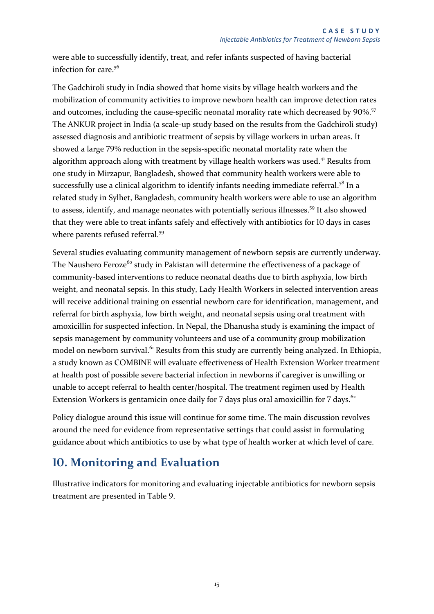were able to successfully identify, treat, and refer infants suspected of having bacterial infection for care.<sup>56</sup>

The Gadchiroli study in India showed that home visits by village health workers and the mobilization of community activities to improve newborn health can improve detection rates and outcomes, including the cause-specific neonatal morality rate which decreased by 90%.<sup>57</sup> The ANKUR project in India (a scale-up study based on the results from the Gadchiroli study) assessed diagnosis and antibiotic treatment of sepsis by village workers in urban areas. It showed a large 79% reduction in the sepsis-specific neonatal mortality rate when the algorithm approach along with treatment by village health workers was used.<sup>[41](#page-14-2)</sup> Results from one study in Mirzapur, Bangladesh, showed that community health workers were able to successfully use a clinical algorithm to identify infants needing immediate referral.<sup>58</sup> In a related study in Sylhet, Bangladesh, community health workers were able to use an algorithm to assess, identify, and manage neonates with potentially serious illnesses.<sup>59</sup> It also showed that they were able to treat infants safely and effectively with antibiotics for 10 days in cases where parents refused referral.<sup>[59](#page-20-1)</sup>

<span id="page-20-1"></span>Several studies evaluating community management of newborn sepsis are currently underway. The Naushero Feroze<sup>60</sup> study in Pakistan will determine the effectiveness of a package of community-based interventions to reduce neonatal deaths due to birth asphyxia, low birth weight, and neonatal sepsis. In this study, Lady Health Workers in selected intervention areas will receive additional training on essential newborn care for identification, management, and referral for birth asphyxia, low birth weight, and neonatal sepsis using oral treatment with amoxicillin for suspected infection. In Nepal, the Dhanusha study is examining the impact of sepsis management by community volunteers and use of a community group mobilization model on newborn survival.<sup>61</sup> Results from this study are currently being analyzed. In Ethiopia, a study known as COMBINE will evaluate effectiveness of Health Extension Worker treatment at health post of possible severe bacterial infection in newborns if caregiver is unwilling or unable to accept referral to health center/hospital. The treatment regimen used by Health Extension Workers is gentamicin once daily for 7 days plus oral amoxicillin for 7 days. $62$ 

Policy dialogue around this issue will continue for some time. The main discussion revolves around the need for evidence from representative settings that could assist in formulating guidance about which antibiotics to use by what type of health worker at which level of care.

# <span id="page-20-0"></span>**10. Monitoring and Evaluation**

Illustrative indicators for monitoring and evaluating injectable antibiotics for newborn sepsis treatment are presented in Table 9.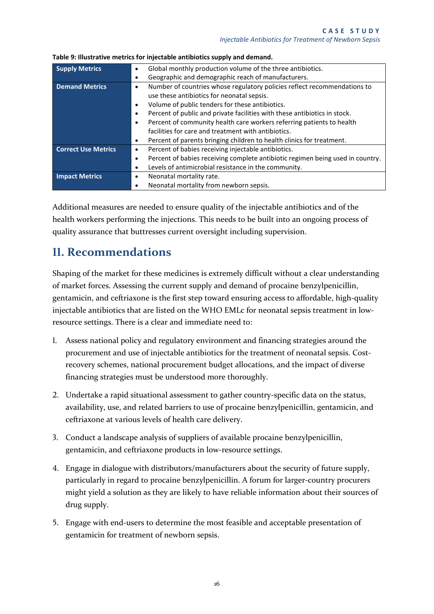| <b>Supply Metrics</b>      | Global monthly production volume of the three antibiotics.                            |
|----------------------------|---------------------------------------------------------------------------------------|
|                            | Geographic and demographic reach of manufacturers.                                    |
| <b>Demand Metrics</b>      | Number of countries whose regulatory policies reflect recommendations to<br>$\bullet$ |
|                            | use these antibiotics for neonatal sepsis.                                            |
|                            | Volume of public tenders for these antibiotics.                                       |
|                            | Percent of public and private facilities with these antibiotics in stock.             |
|                            | Percent of community health care workers referring patients to health                 |
|                            | facilities for care and treatment with antibiotics.                                   |
|                            | Percent of parents bringing children to health clinics for treatment.<br>٠            |
| <b>Correct Use Metrics</b> | Percent of babies receiving injectable antibiotics.<br>٠                              |
|                            | Percent of babies receiving complete antibiotic regimen being used in country.        |
|                            | Levels of antimicrobial resistance in the community.                                  |
| <b>Impact Metrics</b>      | Neonatal mortality rate.<br>٠                                                         |
|                            | Neonatal mortality from newborn sepsis.                                               |

**Table 9: Illustrative metrics for injectable antibiotics supply and demand.** 

Additional measures are needed to ensure quality of the injectable antibiotics and of the health workers performing the injections. This needs to be built into an ongoing process of quality assurance that buttresses current oversight including supervision.

### <span id="page-21-0"></span>**11. Recommendations**

Shaping of the market for these medicines is extremely difficult without a clear understanding of market forces. Assessing the current supply and demand of procaine benzylpenicillin, gentamicin, and ceftriaxone is the first step toward ensuring access to affordable, high-quality injectable antibiotics that are listed on the WHO EMLc for neonatal sepsis treatment in lowresource settings. There is a clear and immediate need to:

- 1. Assess national policy and regulatory environment and financing strategies around the procurement and use of injectable antibiotics for the treatment of neonatal sepsis. Costrecovery schemes, national procurement budget allocations, and the impact of diverse financing strategies must be understood more thoroughly.
- 2. Undertake a rapid situational assessment to gather country-specific data on the status, availability, use, and related barriers to use of procaine benzylpenicillin, gentamicin, and ceftriaxone at various levels of health care delivery.
- 3. Conduct a landscape analysis of suppliers of available procaine benzylpenicillin, gentamicin, and ceftriaxone products in low-resource settings.
- 4. Engage in dialogue with distributors/manufacturers about the security of future supply, particularly in regard to procaine benzylpenicillin. A forum for larger-country procurers might yield a solution as they are likely to have reliable information about their sources of drug supply.
- 5. Engage with end-users to determine the most feasible and acceptable presentation of gentamicin for treatment of newborn sepsis.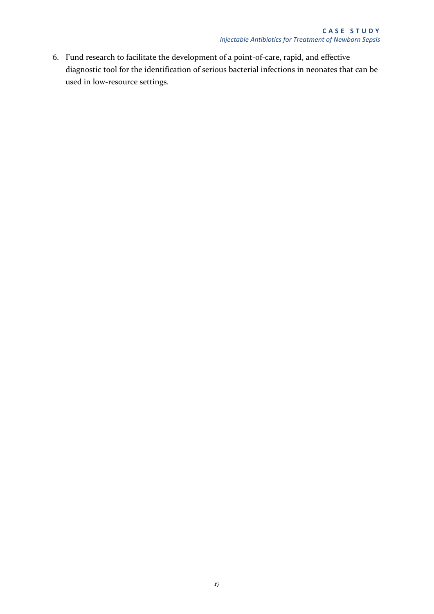<span id="page-22-0"></span>6. Fund research to facilitate the development of a point-of-care, rapid, and effective diagnostic tool for the identification of serious bacterial infections in neonates that can be used in low-resource settings.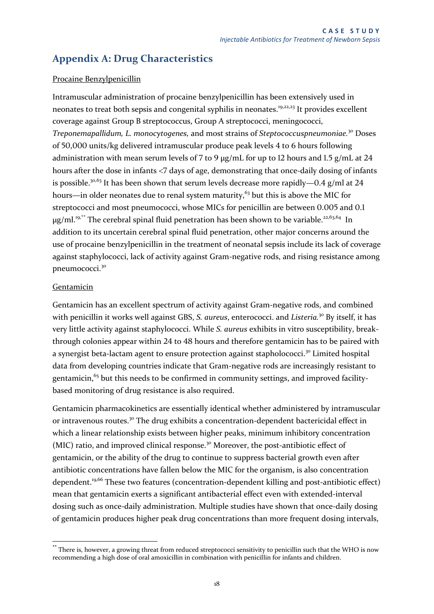### **Appendix A: Drug Characteristics**

#### Procaine Benzylpenicillin

<span id="page-23-0"></span>Intramuscular administration of procaine benzylpenicillin has been extensively used in neonates to treat both sepsis and congenital syphilis in neonates.<sup>[19,](#page-7-1)[22](#page-8-3)[,23](#page-8-4)</sup> It provides excellent coverage against Group B streptococcus, Group A streptococci, meningococci, *Treponemapallidum, L. monocytogenes,* and most strains of *Steptococcuspneumoniae.*[30](#page-9-1) Doses of 50,000 units/kg delivered intramuscular produce peak levels 4 to 6 hours following administration with mean serum levels of 7 to 9  $\mu$ g/mL for up to 12 hours and 1.5 g/mL at 24 hours after the dose in infants <7 days of age, demonstrating that once-daily dosing of infants is possible.<sup>[30,](#page-9-1)63</sup> It has been shown that serum levels decrease more rapidly—0.4 g/ml at 24 hours—in older neonates due to renal system maturity, $63$  but this is above the MIC for streptococci and most pneumococci, whose MICs for penicillin are between 0.005 and 0.1 µg/ml.<sup>[19,](#page-7-1)\*\*</sup> The cerebral spinal fluid penetration has been shown to be variable.<sup>[22](#page-8-3)[,63,](#page-23-0)64</sup> In addition to its uncertain cerebral spinal fluid penetration, other major concerns around the use of procaine benzylpenicillin in the treatment of neonatal sepsis include its lack of coverage against staphylococci, lack of activity against Gram-negative rods, and rising resistance among pneumococci.[30](#page-9-1)

#### Gentamicin

Gentamicin has an excellent spectrum of activity against Gram-negative rods, and combined with penicillin it works well against GBS, *S. aureus*, enterococci. and *Listeria.*[30](#page-9-1) By itself, it has very little activity against staphylococci. While *S. aureus* exhibits in vitro susceptibility, breakthrough colonies appear within 24 to 48 hours and therefore gentamicin has to be paired with a synergist beta-lactam agent to ensure protection against stapholococci.<sup>[30](#page-9-1)</sup> Limited hospital data from developing countries indicate that Gram-negative rods are increasingly resistant to gentamicin,<sup>65</sup> but this needs to be confirmed in community settings, and improved facilitybased monitoring of drug resistance is also required.

Gentamicin pharmacokinetics are essentially identical whether administered by intramuscular or intravenous routes.<sup>[30](#page-9-1)</sup> The drug exhibits a concentration-dependent bactericidal effect in which a linear relationship exists between higher peaks, minimum inhibitory concentration (MIC) ratio, and improved clinical response.<sup>[30](#page-9-1)</sup> Moreover, the post-antibiotic effect of gentamicin, or the ability of the drug to continue to suppress bacterial growth even after antibiotic concentrations have fallen below the MIC for the organism, is also concentration dependent.<sup>[19,](#page-7-1)66</sup> These two features (concentration-dependent killing and post-antibiotic effect) mean that gentamicin exerts a significant antibacterial effect even with extended-interval dosing such as once-daily administration. Multiple studies have shown that once-daily dosing of gentamicin produces higher peak drug concentrations than more frequent dosing intervals,

<sup>-</sup>\*\* There is, however, a growing threat from reduced streptococci sensitivity to penicillin such that the WHO is now recommending a high dose of oral amoxicillin in combination with penicillin for infants and children.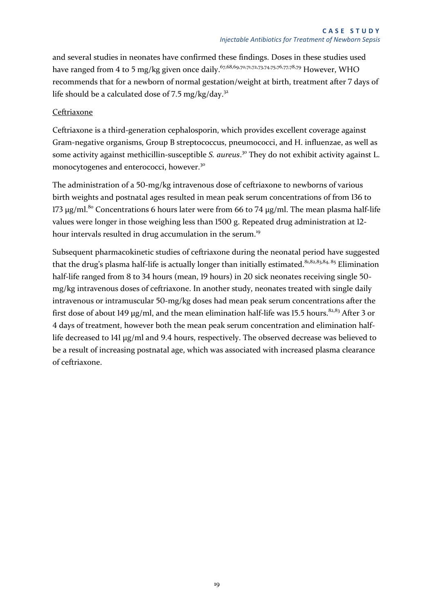and several studies in neonates have confirmed these findings. Doses in these studies used have ranged from 4 to 5 mg/kg given once daily.<sup>67,68,69,70,71,72,73,74,75,76,77,78,79</sup> However, WHO recommends that for a newborn of normal gestation/weight at birth, treatment after 7 days of life should be a calculated dose of 7.5 mg/kg/day.<sup>[32](#page-9-3)</sup>

#### Ceftriaxone

Ceftriaxone is a third-generation cephalosporin, which provides excellent coverage against Gram-negative organisms, Group B streptococcus, pneumococci, and H. influenzae, as well as some activity against methicillin-susceptible *S. aureus*. [30](#page-9-1) They do not exhibit activity against L. monocytogenes and enterococci, however.<sup>[30](#page-9-1)</sup>

The administration of a 50-mg/kg intravenous dose of ceftriaxone to newborns of various birth weights and postnatal ages resulted in mean peak serum concentrations of from 136 to 173  $\mu$ g/ml.<sup>80</sup> Concentrations 6 hours later were from 66 to 74  $\mu$ g/ml. The mean plasma half-life values were longer in those weighing less than 1500 g. Repeated drug administration at 12- hour intervals resulted in drug accumulation in the serum.<sup>[19](#page-7-1)</sup>

<span id="page-24-1"></span><span id="page-24-0"></span>Subsequent pharmacokinetic studies of ceftriaxone during the neonatal period have suggested that the drug's plasma half-life is actually longer than initially estimated.<sup>81,82,83,84, 85</sup> Elimination half-life ranged from 8 to 34 hours (mean, 19 hours) in 20 sick neonates receiving single 50mg/kg intravenous doses of ceftriaxone. In another study, neonates treated with single daily intravenous or intramuscular 50-mg/kg doses had mean peak serum concentrations after the first dose of about 149  $\mu$ g/ml, and the mean elimination half-life was 15.5 hours.<sup>[82,](#page-24-0)[83](#page-24-1)</sup> After 3 or 4 days of treatment, however both the mean peak serum concentration and elimination halflife decreased to 141 µg/ml and 9.4 hours, respectively. The observed decrease was believed to be a result of increasing postnatal age, which was associated with increased plasma clearance of ceftriaxone.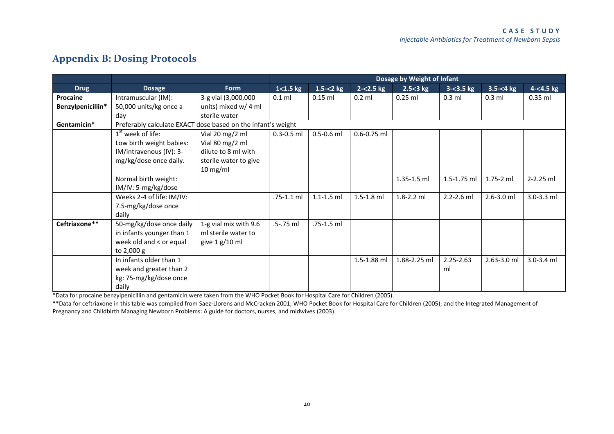# **Appendix B: Dosing Protocols**

|                   |                                                              |                       |                | Dosage by Weight of Infant |                 |              |                |                |              |
|-------------------|--------------------------------------------------------------|-----------------------|----------------|----------------------------|-----------------|--------------|----------------|----------------|--------------|
| <b>Drug</b>       | <b>Dosage</b>                                                | <b>Form</b>           | $1 < 1.5$ kg   | 1.5 $<$ 2 kg               | $2 - 2.5$ kg    | $2.5 < 3$ kg | $3 - 3.5$ kg   | $3.5 - 4 kg$   | $4 - 4.5$ kg |
| Procaine          | Intramuscular (IM):                                          | 3-g vial (3,000,000   | $0.1$ ml       | $0.15$ ml                  | $0.2$ ml        | $0.25$ ml    | $0.3$ ml       | $0.3$ ml       | $0.35$ ml    |
| Benzylpenicillin* | 50,000 units/kg once a                                       | units) mixed w/ 4 ml  |                |                            |                 |              |                |                |              |
|                   | day                                                          | sterile water         |                |                            |                 |              |                |                |              |
| Gentamicin*       | Preferably calculate EXACT dose based on the infant's weight |                       |                |                            |                 |              |                |                |              |
|                   | $1st$ week of life:                                          | Vial 20 mg/2 ml       | $0.3 - 0.5$ ml | $0.5 - 0.6$ ml             | $0.6 - 0.75$ ml |              |                |                |              |
|                   | Low birth weight babies:                                     | Vial 80 mg/2 ml       |                |                            |                 |              |                |                |              |
|                   | IM/intravenous (IV): 3-                                      | dilute to 8 ml with   |                |                            |                 |              |                |                |              |
|                   | mg/kg/dose once daily.                                       | sterile water to give |                |                            |                 |              |                |                |              |
|                   |                                                              | $10 \text{ mg/ml}$    |                |                            |                 |              |                |                |              |
|                   | Normal birth weight:                                         |                       |                |                            |                 | 1.35-1.5 ml  | 1.5-1.75 ml    | 1.75-2 ml      | 2-2.25 ml    |
|                   | IM/IV: 5-mg/kg/dose                                          |                       |                |                            |                 |              |                |                |              |
|                   | Weeks 2-4 of life: IM/IV:                                    |                       | .75-1.1 ml     | $1.1 - 1.5$ ml             | $1.5 - 1.8$ ml  | 1.8-2.2 ml   | $2.2 - 2.6$ ml | $2.6 - 3.0$ ml | 3.0-3.3 ml   |
|                   | 7.5-mg/kg/dose once                                          |                       |                |                            |                 |              |                |                |              |
|                   | daily                                                        |                       |                |                            |                 |              |                |                |              |
| Ceftriaxone**     | 50-mg/kg/dose once daily                                     | 1-g vial mix with 9.6 | .5-.75 ml      | .75-1.5 ml                 |                 |              |                |                |              |
|                   | in infants younger than 1                                    | ml sterile water to   |                |                            |                 |              |                |                |              |
|                   | week old and < or equal                                      | give $1 g/10 ml$      |                |                            |                 |              |                |                |              |
|                   | to 2,000 g                                                   |                       |                |                            |                 |              |                |                |              |
|                   | In infants older than 1                                      |                       |                |                            | 1.5-1.88 ml     | 1.88-2.25 ml | $2.25 - 2.63$  | 2.63-3.0 ml    | 3.0-3.4 ml   |
|                   | week and greater than 2                                      |                       |                |                            |                 |              | ml             |                |              |
|                   | kg: 75-mg/kg/dose once                                       |                       |                |                            |                 |              |                |                |              |
|                   | daily                                                        |                       |                |                            |                 |              |                |                |              |

<span id="page-25-0"></span>\*Data for procaine benzylpenicillin and gentamicin were taken from the WHO Pocket Book for Hospital Care for Children (2005).

\*\*Data for ceftriaxone in this table was compiled from Saez-Llorens and McCracken 2001; WHO Pocket Book for Hospital Care for Children (2005); and the Integrated Management of Pregnancy and Childbirth Managing Newborn Problems: A guide for doctors, nurses, and midwives (2003).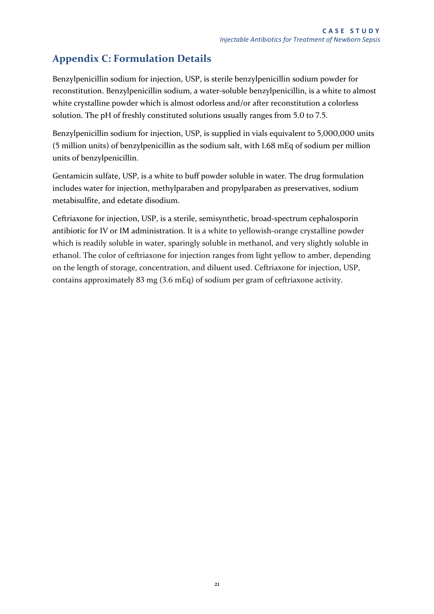### <span id="page-26-0"></span>**Appendix C: Formulation Details**

Benzylpenicillin sodium for injection, USP, is sterile benzylpenicillin sodium powder for reconstitution. Benzylpenicillin sodium, a water-soluble benzylpenicillin, is a white to almost white crystalline powder which is almost odorless and/or after reconstitution a colorless solution. The pH of freshly constituted solutions usually ranges from 5.0 to 7.5.

Benzylpenicillin sodium for injection, USP, is supplied in vials equivalent to 5,000,000 units (5 million units) of benzylpenicillin as the sodium salt, with 1.68 mEq of sodium per million units of benzylpenicillin.

Gentamicin sulfate, USP, is a white to buff powder soluble in water. The drug formulation includes water for injection, methylparaben and propylparaben as preservatives, sodium metabisulfite, and edetate disodium.

Ceftriaxone for injection, USP, is a sterile, semisynthetic, broad-spectrum cephalosporin antibiotic for IV or IM administration. It is a white to yellowish-orange crystalline powder which is readily soluble in water, sparingly soluble in methanol, and very slightly soluble in ethanol. The color of ceftriaxone for injection ranges from light yellow to amber, depending on the length of storage, concentration, and diluent used. Ceftriaxone for injection, USP, contains approximately 83 mg (3.6 mEq) of sodium per gram of ceftriaxone activity.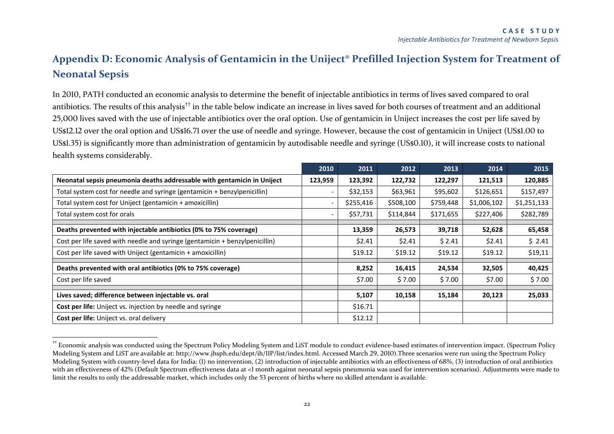# **Appendix D: Economic Analysis of Gentamicin in the Uniject® Prefilled Injection System for Treatment of Neonatal Sepsis**

In 2010, PATH conducted an economic analysis to determine the benefit of injectable antibiotics in terms of lives saved compared to oral antibiotics. The results of this analysis†† in the table below indicate an increase in lives saved for both courses of treatment and an additional 25,000 lives saved with the use of injectable antibiotics over the oral option. Use of gentamicin in Uniject increases the cost per life saved by US\$12.12 over the oral option and US\$16.71 over the use of needle and syringe. However, because the cost of gentamicin in Uniject (US\$1.00 to US\$1.35) is significantly more than administration of gentamicin by autodisable needle and syringe (US\$0.10), it will increase costs to national health systems considerably.

<span id="page-27-0"></span>

|                                                                             | 2010    | 2011      | 2012      | 2013      | 2014        | 2015        |
|-----------------------------------------------------------------------------|---------|-----------|-----------|-----------|-------------|-------------|
| Neonatal sepsis pneumonia deaths addressable with gentamicin in Uniject     | 123,959 | 123,392   | 122,732   | 122,297   | 121,513     | 120,885     |
| Total system cost for needle and syringe (gentamicin + benzylpenicillin)    |         | \$32,153  | \$63,961  | \$95,602  | \$126,651   | \$157,497   |
| Total system cost for Uniject (gentamicin + amoxicillin)                    |         | \$255,416 | \$508,100 | \$759,448 | \$1,006,102 | \$1,251,133 |
| Total system cost for orals                                                 |         | \$57,731  | \$114,844 | \$171,655 | \$227,406   | \$282,789   |
| Deaths prevented with injectable antibiotics (0% to 75% coverage)           |         | 13,359    | 26,573    | 39,718    | 52,628      | 65,458      |
| Cost per life saved with needle and syringe (gentamicin + benzylpenicillin) |         | \$2.41    | \$2.41    | \$2.41    | \$2.41      | \$2.41      |
| Cost per life saved with Uniject (gentamicin + amoxicillin)                 |         | \$19.12   | \$19.12   | \$19.12   | \$19.12     | \$19,11     |
| Deaths prevented with oral antibiotics (0% to 75% coverage)                 |         | 8,252     | 16,415    | 24,534    | 32,505      | 40,425      |
| Cost per life saved                                                         |         | \$7.00    | \$7.00    | \$7.00    | \$7.00      | \$7.00      |
| Lives saved; difference between injectable vs. oral                         |         | 5,107     | 10,158    | 15,184    | 20,123      | 25,033      |
| Cost per life: Uniject vs. injection by needle and syringe                  |         | \$16.71   |           |           |             |             |
| Cost per life: Uniject vs. oral delivery                                    |         | \$12.12   |           |           |             |             |

<sup>††</sup> Economic analysis was conducted using the Spectrum Policy Modeling System and LiST module to conduct evidence-based estimates of intervention impact. (Spectrum Policy Modeling System and LiST are available at: http://www.jhsph.edu/dept/ih/IIP/list/index.html. Accessed March 29, 2010).Three scenarios were run using the Spectrum Policy Modeling System with country-level data for India: (1) no intervention, (2) introduction of injectable antibiotics with an effectiveness of 68%, (3) introduction of oral antibiotics with an effectiveness of 42% (Default Spectrum effectiveness data at <1 month against neonatal sepsis pneumonia was used for intervention scenarios). Adjustments were made to limit the results to only the addressable market, which includes only the 53 percent of births where no skilled attendant is available.

-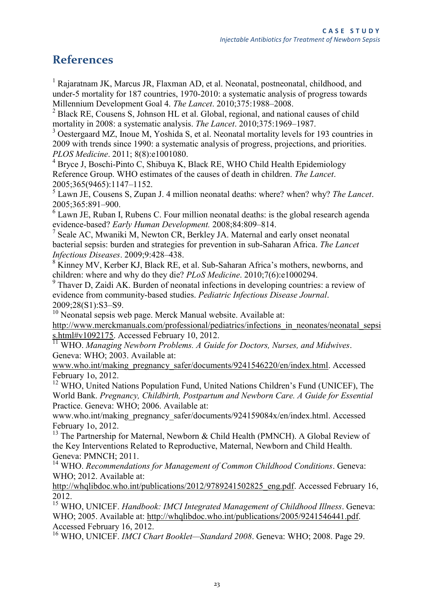### <span id="page-28-0"></span>**References**

<sup>1</sup> Rajaratnam JK, Marcus JR, Flaxman AD, et al. Neonatal, postneonatal, childhood, and under-5 mortality for 187 countries, 1970-2010: a systematic analysis of progress towards Millennium Development Goal 4. *The Lancet*. 2010;375:1988–2008.

<sup>2</sup> Black RE, Cousens S, Johnson HL et al. Global, regional, and national causes of child mortality in 2008: a systematic analysis. *The Lancet*. 2010;375:1969–1987.

<sup>3</sup> Oestergaard MZ, Inoue M, Yoshida S, et al. Neonatal mortality levels for 193 countries in 2009 with trends since 1990: a systematic analysis of progress, projections, and priorities. *PLOS Medicine*. 2011; 8(8):e1001080.

<sup>4</sup> Bryce J, Boschi-Pinto C, Shibuya K, Black RE, WHO Child Health Epidemiology Reference Group. WHO estimates of the causes of death in children. *The Lancet*. 2005;365(9465):1147–1152.

5 Lawn JE, Cousens S, Zupan J. 4 million neonatal deaths: where? when? why? *The Lancet*. 2005;365:891–900.

 $6$  Lawn JE, Ruban I, Rubens C. Four million neonatal deaths: is the global research agenda

evidence-based? *Early Human Development.* 2008;84:809–814. 7 Seale AC, Mwaniki M, Newton CR, Berkley JA. Maternal and early onset neonatal bacterial sepsis: burden and strategies for prevention in sub-Saharan Africa. *The Lancet Infectious Diseases*. 2009;9:428–438.

<sup>8</sup> Kinney MV, Kerber KJ, Black RE, et al. Sub-Saharan Africa's mothers, newborns, and children: where and why do they die? *PLoS Medicine*. 2010;7(6):e1000294.

<sup>9</sup> Thaver D, Zaidi AK. Burden of neonatal infections in developing countries: a review of evidence from community-based studies. *Pediatric Infectious Disease Journal*. 2009;28(S1):S3–S9.

<sup>10</sup> Neonatal sepsis web page. Merck Manual website. Available at:

[http://www.merckmanuals.com/professional/pediatrics/infections\\_in\\_neonates/neonatal\\_sepsi](http://www.merckmanuals.com/professional/pediatrics/infections_in_neonates/neonatal_sepsis.html#v1092175) [s.html#v1092175.](http://www.merckmanuals.com/professional/pediatrics/infections_in_neonates/neonatal_sepsis.html#v1092175) Accessed February 10, 2012.

<sup>11</sup> WHO. *Managing Newborn Problems. A Guide for Doctors, Nurses, and Midwives.* Geneva: WHO; 2003. Available at:

[www.who.int/making\\_pregnancy\\_safer/documents/9241546220/en/index.html.](http://www.who.int/making_pregnancy_safer/documents/9241546220/en/index.html) Accessed February 1o, 2012.

<sup>12</sup> WHO, United Nations Population Fund, United Nations Children's Fund (UNICEF), The World Bank. *Pregnancy, Childbirth, Postpartum and Newborn Care. A Guide for Essential*  Practice. Geneva: WHO; 2006. Available at:

[www.who.int/making\\_pregnancy\\_safer/documents/924159084x/en/index.html.](http://www.who.int/making_pregnancy_safer/documents/924159084x/en/index.html) Accessed February 1o, 2012.

<sup>13</sup> The Partnership for Maternal, Newborn & Child Health (PMNCH). A Global Review of the Key Interventions Related to Reproductive, Maternal, Newborn and Child Health. Geneva: PMNCH; 2011.

<sup>14</sup> WHO. *Recommendations for Management of Common Childhood Conditions*. Geneva: WHO; 2012. Available at:

[http://whqlibdoc.who.int/publications/2012/9789241502825\\_eng.pdf.](http://whqlibdoc.who.int/publications/2012/9789241502825_eng.pdf) Accessed February 16, 2012.

<sup>15</sup> WHO, UNICEF. *Handbook: IMCI Integrated Management of Childhood Illness*. Geneva: WHO; 2005. Available at: [http://whqlibdoc.who.int/publications/2005/9241546441.pdf.](http://whqlibdoc.who.int/publications/2005/9241546441.pdf) Accessed February 16, 2012.

<sup>16</sup> WHO, UNICEF. *IMCI Chart Booklet—Standard 2008*. Geneva: WHO; 2008. Page 29.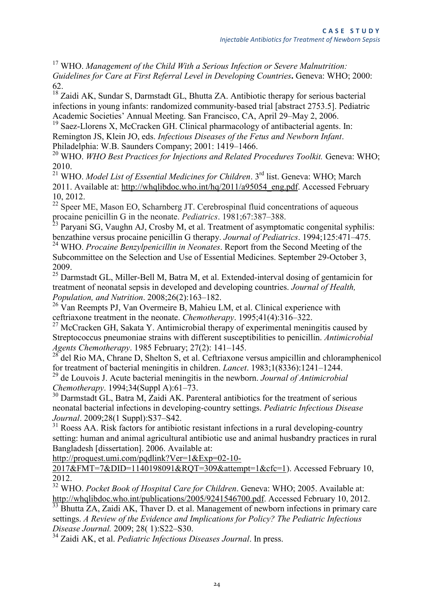<sup>17</sup> WHO. *Management of the Child With a Serious Infection or Severe Malnutrition: Guidelines for Care at First Referral Level in Developing Countries***.** Geneva: WHO; 2000: 62.

<sup>18</sup> Zaidi AK, Sundar S, Darmstadt GL, Bhutta ZA. Antibiotic therapy for serious bacterial infections in young infants: randomized community-based trial [abstract 2753.5]. Pediatric Academic Societies' Annual Meeting. San Francisco, CA, April 29–May 2, 2006.

<sup>19</sup> Saez-Llorens X, McCracken GH. Clinical pharmacology of antibacterial agents. In: Remington JS, Klein JO, eds. *Infectious Diseases of the Fetus and Newborn Infant*. Philadelphia: W.B. Saunders Company; 2001: 1419–1466.

<sup>20</sup> WHO. *WHO Best Practices for Injections and Related Procedures Toolkit.* Geneva: WHO; 2010.

<sup>21</sup> WHO. *Model List of Essential Medicines for Children*. 3rd list. Geneva: WHO; March 2011. Available at: [http://whqlibdoc.who.int/hq/2011/a95054\\_eng.pdf.](http://whqlibdoc.who.int/hq/2011/a95054_eng.pdf) Accessed February 10, 2012.

 $22$  Speer ME, Mason EO, Scharnberg JT. Cerebrospinal fluid concentrations of aqueous procaine penicillin G in the neonate. *Pediatrics*. 1981;67:387–388.

<sup>23</sup> Paryani SG, Vaughn AJ, Crosby M, et al. Treatment of asymptomatic congenital syphilis: benzathine versus procaine penicillin G therapy. *Journal of Pediatrics*. 1994;125:471–475.

<sup>24</sup> WHO. *Procaine Benzylpenicillin in Neonates*. Report from the Second Meeting of the Subcommittee on the Selection and Use of Essential Medicines. September 29-October 3, 2009.

<sup>25</sup> [Darmstadt GL,](http://www.ncbi.nlm.nih.gov/pubmed?term=%22Darmstadt%20GL%22%5BAuthor%5D) [Miller-Bell M,](http://www.ncbi.nlm.nih.gov/pubmed?term=%22Miller-Bell%20M%22%5BAuthor%5D) [Batra M,](http://www.ncbi.nlm.nih.gov/pubmed?term=%22Batra%20M%22%5BAuthor%5D) et al. Extended-interval dosing of gentamicin for treatment of neonatal sepsis in developed and developing countries. *[Journal of Health,](http://www.ncbi.nlm.nih.gov/pubmed/18686550)  [Population, and Nutrition](http://www.ncbi.nlm.nih.gov/pubmed/18686550)*. 2008;26(2):163–182.

<sup>26</sup> Van Reempts PJ, Van Overmeire B, Mahieu LM, et al. Clinical experience with ceftriaxone treatment in the neonate. *Chemotherapy*. 1995;41(4):316–322.

 $27$  McCracken GH, Sakata Y. Antimicrobial therapy of experimental meningitis caused by Streptococcus pneumoniae strains with different susceptibilities to penicillin. *Antimicrobial Agents Chemotherapy*. 1985 February; 27(2): 141–145.

 $^{28}$  del Rio MA, Chrane D, Shelton S, et al. Ceftriaxone versus ampicillin and chloramphenicol for treatment of bacterial meningitis in children. *Lancet*. 1983;1(8336):1241–1244.

<sup>29</sup> de Louvois J. Acute bacterial meningitis in the newborn. *Journal of Antimicrobial Chemotherapy*. 1994;34(Suppl A):61–73.

 $30$  [Darmstadt GL,](http://www.ncbi.nlm.nih.gov/pubmed?term=%22Darmstadt%20GL%22%5BAuthor%5D) [Batra M,](http://www.ncbi.nlm.nih.gov/pubmed?term=%22Batra%20M%22%5BAuthor%5D) [Zaidi AK.](http://www.ncbi.nlm.nih.gov/pubmed?term=%22Zaidi%20AK%22%5BAuthor%5D) Parenteral antibiotics for the treatment of serious neonatal bacterial infections in developing-country settings. *[Pediatric Infectious Disease](http://www.ncbi.nlm.nih.gov/pubmed/19106762)  [Journal](http://www.ncbi.nlm.nih.gov/pubmed/19106762)*. 2009;28(1 Suppl):S37–S42.

 $31$  Roess AA. Risk factors for antibiotic resistant infections in a rural developing-country setting: human and animal agricultural antibiotic use and animal husbandry practices in rural Bangladesh [dissertation]. 2006. Available at:

[http://proquest.umi.com/pqdlink?Ver=1&Exp=02-10-](http://proquest.umi.com/pqdlink?Ver=1&Exp=02-10-2017&FMT=7&DID=1140198091&RQT=309&attempt=1&cfc=1)

[2017&FMT=7&DID=1140198091&RQT=309&attempt=1&cfc=1\)](http://proquest.umi.com/pqdlink?Ver=1&Exp=02-10-2017&FMT=7&DID=1140198091&RQT=309&attempt=1&cfc=1). Accessed February 10. 2012.

<sup>32</sup> WHO. *Pocket Book of Hospital Care for Children*. Geneva: WHO; 2005. Available at: [http://whqlibdoc.who.int/publications/2005/9241546700.pdf.](http://whqlibdoc.who.int/publications/2005/9241546700.pdf) Accessed February 10, 2012.

<sup>33</sup> Bhutta ZA, Zaidi AK, Thaver D. et al. Management of newborn infections in primary care settings. *A Review of the Evidence and Implications for Policy? The Pediatric Infectious Disease Journal.* 2009; 28( 1):S22–S30.

<sup>34</sup> Zaidi AK, et al. *Pediatric Infectious Diseases Journal*. In press.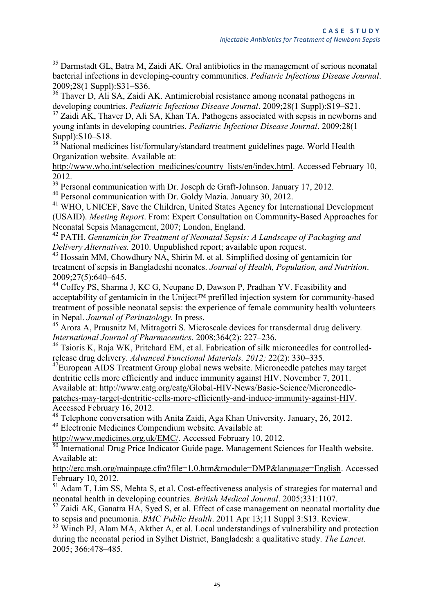<sup>35</sup> [Darmstadt GL,](http://www.ncbi.nlm.nih.gov/pubmed?term=%22Darmstadt%20GL%22%5BAuthor%5D) [Batra M,](http://www.ncbi.nlm.nih.gov/pubmed?term=%22Batra%20M%22%5BAuthor%5D) [Zaidi AK.](http://www.ncbi.nlm.nih.gov/pubmed?term=%22Zaidi%20AK%22%5BAuthor%5D) Oral antibiotics in the management of serious neonatal bacterial infections in developing-country communities. *[Pediatric Infectious Disease Journal](http://www.ncbi.nlm.nih.gov/pubmed/19106761)*. 2009;28(1 Suppl):S31–S36.

<sup>36</sup> Thaver D, Ali SA, Zaidi AK. Antimicrobial resistance among neonatal pathogens in developing countries. *Pediatric Infectious Disease Journal*. 2009;28(1 Suppl):S19–S21.

 $37$  Zaidi AK, Thaver D, Ali SA, Khan TA. Pathogens associated with sepsis in newborns and young infants in developing countries. *Pediatric Infectious Disease Journal*. 2009;28(1 Suppl):S10–S18.

<sup>38</sup> National medicines list/formulary/standard treatment guidelines page. World Health Organization website. Available at:

[http://www.who.int/selection\\_medicines/country\\_lists/en/index.html.](http://www.who.int/selection_medicines/country_lists/en/index.html) Accessed February 10, 2012.

 $\frac{39}{39}$  Personal communication with Dr. Joseph de Graft-Johnson. January 17, 2012.

<sup>40</sup> Personal communication with Dr. Goldy Mazia. January 30, 2012.

<sup>41</sup> WHO, UNICEF, Save the Children, United States Agency for International Development (USAID). *Meeting Report*. From: Expert Consultation on Community-Based Approaches for Neonatal Sepsis Management, 2007; London, England.

<sup>42</sup> PATH. *Gentamicin for Treatment of Neonatal Sepsis: A Landscape of Packaging and Delivery Alternatives.* 2010. Unpublished report; available upon request.

<sup>43</sup> Hossain MM, Chowdhury NA, Shirin M, et al. Simplified dosing of gentamicin for treatment of sepsis in Bangladeshi neonates. *Journal of Health, Population, and Nutrition*. 2009;27(5):640–645.

<sup>44</sup> Coffey PS, Sharma J, KC G, Neupane D, Dawson P, Pradhan YV. Feasibility and acceptability of gentamicin in the Uniject™ prefilled injection system for community-based treatment of possible neonatal sepsis: the experience of female community health volunteers in Nepal. *Journal of Perinatology.* In press.

<sup>45</sup> Arora A, Prausnitz M, Mitragotri S. Microscale devices for transdermal drug delivery*. [International Journal of Pharmaceutics](http://libra.msra.cn/Journal/8233/int-j-pharm-international-journal-of-pharmaceutics)*. 2008;364(2): 227–236.

<sup>46</sup> Tsioris K, Raja WK, Pritchard EM, et al. Fabrication of silk microneedles for controlledrelease drug delivery. *Advanced Functional Materials. 2012;* 22(2): 330–335.

<sup>47</sup>European AIDS Treatment Group global news website. Microneedle patches may target dentritic cells more efficiently and induce immunity against HIV. November 7, 2011. Available at: [http://www.eatg.org/eatg/Global-HIV-News/Basic-Science/Microneedle](http://www.eatg.org/eatg/Global-HIV-News/Basic-Science/Microneedle-patches-may-target-dentritic-cells-more-efficiently-and-induce-immunity-against-HIV)[patches-may-target-dentritic-cells-more-efficiently-and-induce-immunity-against-HIV.](http://www.eatg.org/eatg/Global-HIV-News/Basic-Science/Microneedle-patches-may-target-dentritic-cells-more-efficiently-and-induce-immunity-against-HIV) Accessed February 16, 2012.

<sup>48</sup> Telephone conversation with Anita Zaidi, Aga Khan University. January, 26, 2012. <sup>49</sup> Electronic Medicines Compendium website. Available at:

[http://www.medicines.org.uk/EMC/.](http://www.medicines.org.uk/EMC/) Accessed February 10, 2012.

<sup>50</sup> International Drug Price Indicator Guide page. [Management Sciences for Health](http://www.msh.org/) website. Available at:

[http://erc.msh.org/mainpage.cfm?file=1.0.htm&module=DMP&language=English.](http://erc.msh.org/mainpage.cfm?file=1.0.htm&module=DMP&language=English) Accessed February 10, 2012.

 $51$  Adam T, Lim SS, Mehta S, et al. Cost-effectiveness analysis of strategies for maternal and neonatal health in developing countries. *British Medical Journal*. 2005;331:1107.

 $52$  Zaidi AK, Ganatra HA, Syed S, et al. Effect of case management on neonatal mortality due to sepsis and pneumonia. *BMC Public Health*. 2011 Apr 13;11 Suppl 3:S13. Review.

<sup>53</sup> Winch PJ, Alam MA, Akther A, et al. Local understandings of vulnerability and protection during the neonatal period in Sylhet District, Bangladesh: a qualitative study. *The Lancet.* 2005; 366:478–485.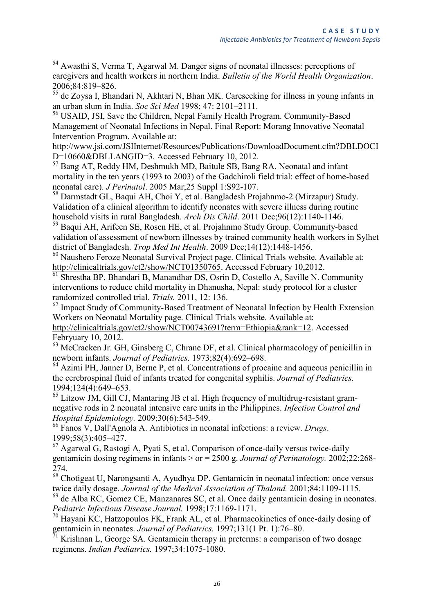<sup>54</sup> Awasthi S, Verma T, Agarwal M. Danger signs of neonatal illnesses: perceptions of caregivers and health workers in northern India. *Bulletin of the World Health Organization*. 2006;84:819–826.

<sup>55</sup> de Zoysa I, Bhandari N, Akhtari N, Bhan MK. Careseeking for illness in young infants in an urban slum in India. *Soc Sci Med* 1998; 47: 2101–2111.

<sup>56</sup> USAID, JSI, Save the Children, Nepal Family Health Program. Community-Based Management of Neonatal Infections in Nepal. Final Report: Morang Innovative Neonatal Intervention Program. Available at:

[http://www.jsi.com/JSIInternet/Resources/Publications/DownloadDocument.cfm?DBLDOCI](http://www.jsi.com/JSIInternet/Resources/Publications/DownloadDocument.cfm?DBLDOCID=10660&DBLLANGID=3) [D=10660&DBLLANGID=3.](http://www.jsi.com/JSIInternet/Resources/Publications/DownloadDocument.cfm?DBLDOCID=10660&DBLLANGID=3) Accessed February 10, 2012.

<sup>57</sup> Bang AT, Reddy HM, Deshmukh MD, Baitule SB, Bang RA. Neonatal and infant mortality in the ten years (1993 to 2003) of the Gadchiroli field trial: effect of home-based neonatal care). *J Perinatol*. 2005 Mar;25 Suppl 1:S92-107.

<sup>58</sup> Darmstadt GL, Baqui AH, Choi Y, et al. Bangladesh Projahnmo-2 (Mirzapur) Study. Validation of a clinical algorithm to identify neonates with severe illness during routine household visits in rural Bangladesh. *Arch Dis Child*. 2011 Dec;96(12):1140-1146.

<sup>59</sup> Baqui AH, Arifeen SE, Rosen HE, et al. Projahnmo Study Group. Community-based validation of assessment of newborn illnesses by trained community health workers in Sylhet district of Bangladesh. *Trop Med Int Health*. 2009 Dec;14(12):1448-1456.

<sup>60</sup> Naushero Feroze Neonatal Survival Project page. Clinical Trials website. Available at: [http://clinicaltrials.gov/ct2/show/NCT01350765.](http://clinicaltrials.gov/ct2/show/NCT01350765) Accessed February 10,2012.

<sup>61</sup> Shrestha BP, Bhandari B, Manandhar DS, Osrin D, Costello A, Saville N. Community interventions to reduce child mortality in Dhanusha, Nepal: study protocol for a cluster randomized controlled trial. *Trials.* 2011, 12: 136.

<sup>62</sup> Impact Study of Community-Based Treatment of Neonatal Infection by Health Extension Workers on Neonatal Mortality page. Clinical Trials website. Available at: [http://clinicaltrials.gov/ct2/show/NCT00743691?term=Ethiopia&rank=12.](http://clinicaltrials.gov/ct2/show/NCT00743691?term=Ethiopia&rank=12) Accessed Febryuary 10, 2012.

<sup>63</sup> McCracken Jr. GH, Ginsberg C, Chrane DF, et al. Clinical pharmacology of penicillin in newborn infants. *Journal of Pediatrics.* 1973;82(4):692–698.

 $<sup>64</sup>$  Azimi PH, Janner D, Berne P, et al. Concentrations of procaine and aqueous penicillin in</sup> the cerebrospinal fluid of infants treated for congenital syphilis. *Journal of Pediatrics.* 1994;124(4):649–653.

 $65$  Litzow JM, [Gill CJ,](http://www.ncbi.nlm.nih.gov/pubmed?term=%22Gill%20CJ%22%5BAuthor%5D) [Mantaring JB](http://www.ncbi.nlm.nih.gov/pubmed?term=%22Mantaring%20JB%22%5BAuthor%5D) et al. High frequency of multidrug-resistant gramnegative rods in 2 neonatal intensive care units in the Philippines. *Infection Control and Hospital Epidemiology.* 2009;30(6):543-549.

<sup>66</sup> Fanos V, Dall'Agnola A. Antibiotics in neonatal infections: a review. *Drugs*. 1999;58(3):405–427.

 $67$  Agarwal G, Rastogi A, Pyati S, et al. Comparison of once-daily versus twice-daily gentamicin dosing regimens in infants > or = 2500 g. *Journal of Perinatology.* 2002;22:268- 274.

<sup>68</sup> Chotigeat U, Narongsanti A, Ayudhya DP. Gentamicin in neonatal infection: once versus twice daily dosage. *Journal of the Medical Association of Thaland.* 2001;84:1109-1115.

 $^{69}$  de Alba RC, Gomez CE, Manzanares SC, et al. Once daily gentamicin dosing in neonates. *Pediatric Infectious Disease Journal.* 1998;17:1169-1171.

<sup>70</sup> Hayani KC, Hatzopoulos FK, Frank AL, et al. Pharmacokinetics of once-daily dosing of gentamicin in neonates. *Journal of Pediatrics*. 1997;131(1 Pt. 1):76–80.<br><sup>71</sup> Krishnan I. George S.A. Carte

Krishnan L, George SA. Gentamicin therapy in preterms: a comparison of two dosage regimens. *Indian Pediatrics.* 1997;34:1075-1080.